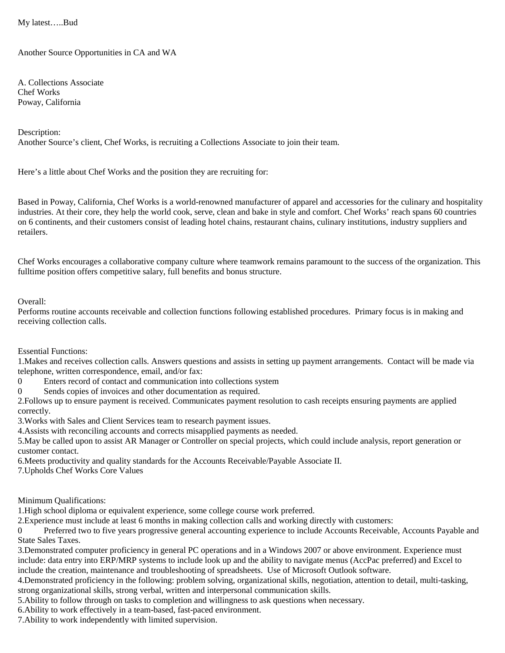My latest…..Bud

Another Source Opportunities in CA and WA

A. Collections Associate Chef Works Poway, California

Description:

Another Source's client, Chef Works, is recruiting a Collections Associate to join their team.

Here's a little about Chef Works and the position they are recruiting for:

Based in Poway, California, Chef Works is a world-renowned manufacturer of apparel and accessories for the culinary and hospitality industries. At their core, they help the world cook, serve, clean and bake in style and comfort. Chef Works' reach spans 60 countries on 6 continents, and their customers consist of leading hotel chains, restaurant chains, culinary institutions, industry suppliers and retailers.

Chef Works encourages a collaborative company culture where teamwork remains paramount to the success of the organization. This fulltime position offers competitive salary, full benefits and bonus structure.

# Overall:

Performs routine accounts receivable and collection functions following established procedures. Primary focus is in making and receiving collection calls.

Essential Functions:

1.Makes and receives collection calls. Answers questions and assists in setting up payment arrangements. Contact will be made via telephone, written correspondence, email, and/or fax:

0 Enters record of contact and communication into collections system

0 Sends copies of invoices and other documentation as required.

2.Follows up to ensure payment is received. Communicates payment resolution to cash receipts ensuring payments are applied correctly.

3.Works with Sales and Client Services team to research payment issues.

4.Assists with reconciling accounts and corrects misapplied payments as needed.

5.May be called upon to assist AR Manager or Controller on special projects, which could include analysis, report generation or customer contact.

6.Meets productivity and quality standards for the Accounts Receivable/Payable Associate II.

7.Upholds Chef Works Core Values

Minimum Qualifications:

1.High school diploma or equivalent experience, some college course work preferred.

2.Experience must include at least 6 months in making collection calls and working directly with customers:

Preferred two to five years progressive general accounting experience to include Accounts Receivable, Accounts Payable and State Sales Taxes.

3.Demonstrated computer proficiency in general PC operations and in a Windows 2007 or above environment. Experience must include: data entry into ERP/MRP systems to include look up and the ability to navigate menus (AccPac preferred) and Excel to include the creation, maintenance and troubleshooting of spreadsheets. Use of Microsoft Outlook software.

4.Demonstrated proficiency in the following: problem solving, organizational skills, negotiation, attention to detail, multi-tasking, strong organizational skills, strong verbal, written and interpersonal communication skills.

5.Ability to follow through on tasks to completion and willingness to ask questions when necessary.

6.Ability to work effectively in a team-based, fast-paced environment.

7.Ability to work independently with limited supervision.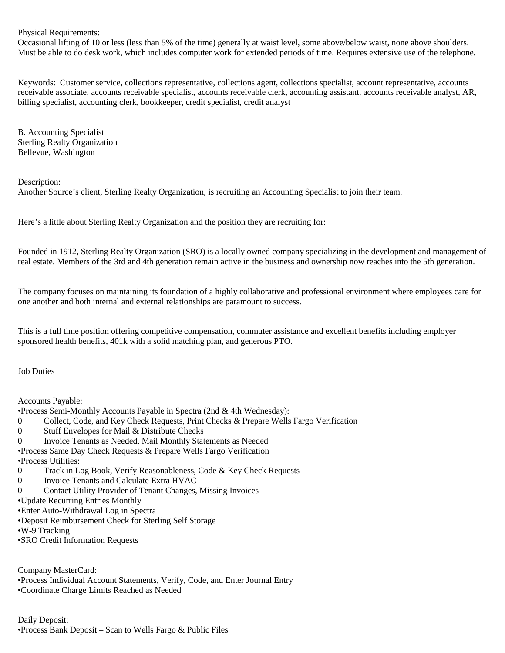Physical Requirements:

Occasional lifting of 10 or less (less than 5% of the time) generally at waist level, some above/below waist, none above shoulders. Must be able to do desk work, which includes computer work for extended periods of time. Requires extensive use of the telephone.

Keywords: Customer service, collections representative, collections agent, collections specialist, account representative, accounts receivable associate, accounts receivable specialist, accounts receivable clerk, accounting assistant, accounts receivable analyst, AR, billing specialist, accounting clerk, bookkeeper, credit specialist, credit analyst

B. Accounting Specialist Sterling Realty Organization Bellevue, Washington

Description:

Another Source's client, Sterling Realty Organization, is recruiting an Accounting Specialist to join their team.

Here's a little about Sterling Realty Organization and the position they are recruiting for:

Founded in 1912, Sterling Realty Organization (SRO) is a locally owned company specializing in the development and management of real estate. Members of the 3rd and 4th generation remain active in the business and ownership now reaches into the 5th generation.

The company focuses on maintaining its foundation of a highly collaborative and professional environment where employees care for one another and both internal and external relationships are paramount to success.

This is a full time position offering competitive compensation, commuter assistance and excellent benefits including employer sponsored health benefits, 401k with a solid matching plan, and generous PTO.

Job Duties

Accounts Payable:

•Process Semi-Monthly Accounts Payable in Spectra (2nd & 4th Wednesday):

- 0 Collect, Code, and Key Check Requests, Print Checks & Prepare Wells Fargo Verification
- 0 Stuff Envelopes for Mail & Distribute Checks
- 0 Invoice Tenants as Needed, Mail Monthly Statements as Needed

•Process Same Day Check Requests & Prepare Wells Fargo Verification

•Process Utilities:

- 0 Track in Log Book, Verify Reasonableness, Code & Key Check Requests
- 0 Invoice Tenants and Calculate Extra HVAC
- 0 Contact Utility Provider of Tenant Changes, Missing Invoices

•Update Recurring Entries Monthly

- •Enter Auto-Withdrawal Log in Spectra
- •Deposit Reimbursement Check for Sterling Self Storage
- •W-9 Tracking
- •SRO Credit Information Requests

Company MasterCard:

- •Process Individual Account Statements, Verify, Code, and Enter Journal Entry
- •Coordinate Charge Limits Reached as Needed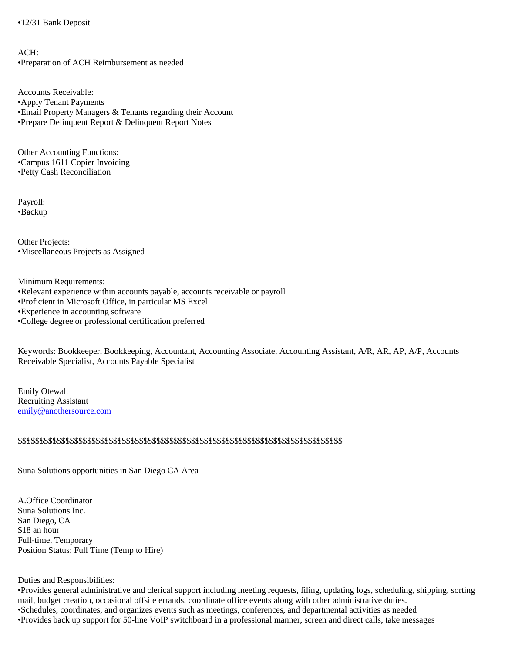•12/31 Bank Deposit

ACH: •Preparation of ACH Reimbursement as needed

Accounts Receivable: •Apply Tenant Payments •Email Property Managers & Tenants regarding their Account •Prepare Delinquent Report & Delinquent Report Notes

Other Accounting Functions: •Campus 1611 Copier Invoicing

•Petty Cash Reconciliation

Payroll: •Backup

Other Projects: •Miscellaneous Projects as Assigned

Minimum Requirements:

•Relevant experience within accounts payable, accounts receivable or payroll

•Proficient in Microsoft Office, in particular MS Excel

•Experience in accounting software

•College degree or professional certification preferred

Keywords: Bookkeeper, Bookkeeping, Accountant, Accounting Associate, Accounting Assistant, A/R, AR, AP, A/P, Accounts Receivable Specialist, Accounts Payable Specialist

Emily Otewalt Recruiting Assistant [emily@anothersource.com](mailto:emily@anothersource.com)

# \$\$\$\$\$\$\$\$\$\$\$\$\$\$\$\$\$\$\$\$\$\$\$\$\$\$\$\$\$\$\$\$\$\$\$\$\$\$\$\$\$\$\$\$\$\$\$\$\$\$\$\$\$\$\$\$\$\$\$\$\$\$\$\$\$\$\$\$\$\$\$\$\$\$\$

Suna Solutions opportunities in San Diego CA Area

A.Office Coordinator Suna Solutions Inc. San Diego, CA \$18 an hour Full-time, Temporary Position Status: Full Time (Temp to Hire)

#### Duties and Responsibilities:

•Provides general administrative and clerical support including meeting requests, filing, updating logs, scheduling, shipping, sorting mail, budget creation, occasional offsite errands, coordinate office events along with other administrative duties. •Schedules, coordinates, and organizes events such as meetings, conferences, and departmental activities as needed •Provides back up support for 50-line VoIP switchboard in a professional manner, screen and direct calls, take messages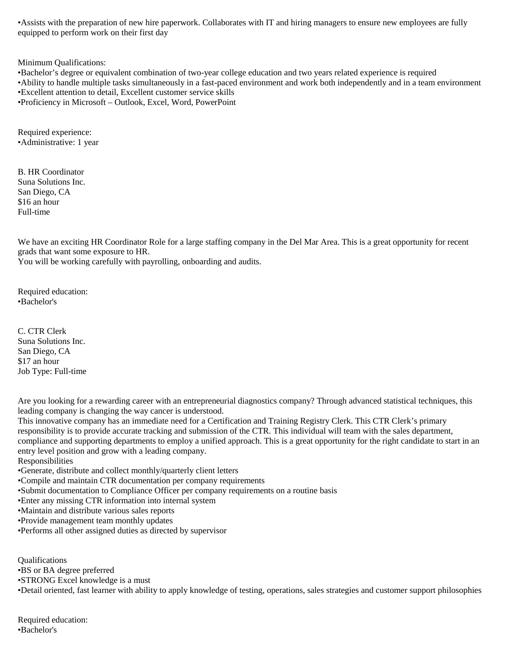•Assists with the preparation of new hire paperwork. Collaborates with IT and hiring managers to ensure new employees are fully equipped to perform work on their first day

Minimum Qualifications:

•Bachelor's degree or equivalent combination of two-year college education and two years related experience is required

•Ability to handle multiple tasks simultaneously in a fast-paced environment and work both independently and in a team environment •Excellent attention to detail, Excellent customer service skills

•Proficiency in Microsoft – Outlook, Excel, Word, PowerPoint

Required experience: •Administrative: 1 year

B. HR Coordinator Suna Solutions Inc. San Diego, CA \$16 an hour Full-time

We have an exciting HR Coordinator Role for a large staffing company in the Del Mar Area. This is a great opportunity for recent grads that want some exposure to HR.

You will be working carefully with payrolling, onboarding and audits.

Required education: •Bachelor's

C. CTR Clerk Suna Solutions Inc. San Diego, CA \$17 an hour Job Type: Full-time

Are you looking for a rewarding career with an entrepreneurial diagnostics company? Through advanced statistical techniques, this leading company is changing the way cancer is understood.

This innovative company has an immediate need for a Certification and Training Registry Clerk. This CTR Clerk's primary responsibility is to provide accurate tracking and submission of the CTR. This individual will team with the sales department, compliance and supporting departments to employ a unified approach. This is a great opportunity for the right candidate to start in an entry level position and grow with a leading company.

Responsibilities

- •Generate, distribute and collect monthly/quarterly client letters
- •Compile and maintain CTR documentation per company requirements
- •Submit documentation to Compliance Officer per company requirements on a routine basis
- •Enter any missing CTR information into internal system
- •Maintain and distribute various sales reports
- •Provide management team monthly updates
- •Performs all other assigned duties as directed by supervisor

Qualifications

- •BS or BA degree preferred
- •STRONG Excel knowledge is a must

•Detail oriented, fast learner with ability to apply knowledge of testing, operations, sales strategies and customer support philosophies

Required education: •Bachelor's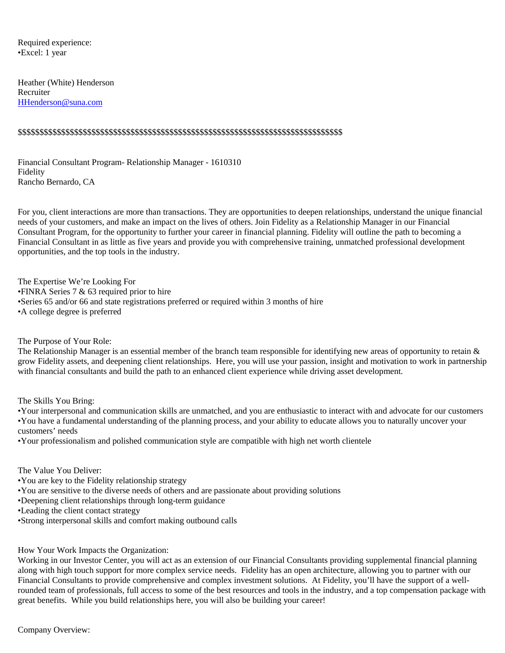Required experience: •Excel: 1 year

Heather (White) Henderson Recruiter [HHenderson@suna.com](mailto:HHenderson@suna.com)

#### \$\$\$\$\$\$\$\$\$\$\$\$\$\$\$\$\$\$\$\$\$\$\$\$\$\$\$\$\$\$\$\$\$\$\$\$\$\$\$\$\$\$\$\$\$\$\$\$\$\$\$\$\$\$\$\$\$\$\$\$\$\$\$\$\$\$\$\$\$\$\$\$\$\$\$

Financial Consultant Program- Relationship Manager - 1610310 Fidelity Rancho Bernardo, CA

For you, client interactions are more than transactions. They are opportunities to deepen relationships, understand the unique financial needs of your customers, and make an impact on the lives of others. Join Fidelity as a Relationship Manager in our Financial Consultant Program, for the opportunity to further your career in financial planning. Fidelity will outline the path to becoming a Financial Consultant in as little as five years and provide you with comprehensive training, unmatched professional development opportunities, and the top tools in the industry.

The Expertise We're Looking For •FINRA Series 7 & 63 required prior to hire •Series 65 and/or 66 and state registrations preferred or required within 3 months of hire •A college degree is preferred

The Purpose of Your Role:

The Relationship Manager is an essential member of the branch team responsible for identifying new areas of opportunity to retain  $\&$ grow Fidelity assets, and deepening client relationships. Here, you will use your passion, insight and motivation to work in partnership with financial consultants and build the path to an enhanced client experience while driving asset development.

The Skills You Bring:

- •Your interpersonal and communication skills are unmatched, and you are enthusiastic to interact with and advocate for our customers •You have a fundamental understanding of the planning process, and your ability to educate allows you to naturally uncover your customers' needs
- •Your professionalism and polished communication style are compatible with high net worth clientele

The Value You Deliver:

- •You are key to the Fidelity relationship strategy
- •You are sensitive to the diverse needs of others and are passionate about providing solutions
- •Deepening client relationships through long-term guidance
- •Leading the client contact strategy
- •Strong interpersonal skills and comfort making outbound calls

How Your Work Impacts the Organization:

Working in our Investor Center, you will act as an extension of our Financial Consultants providing supplemental financial planning along with high touch support for more complex service needs. Fidelity has an open architecture, allowing you to partner with our Financial Consultants to provide comprehensive and complex investment solutions. At Fidelity, you'll have the support of a wellrounded team of professionals, full access to some of the best resources and tools in the industry, and a top compensation package with great benefits. While you build relationships here, you will also be building your career!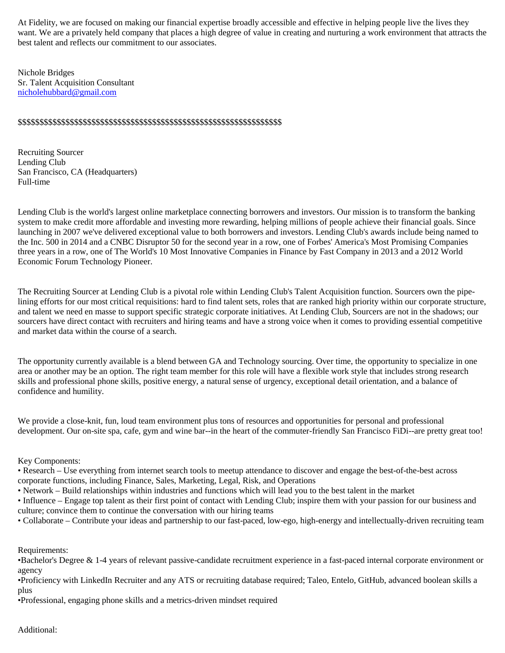At Fidelity, we are focused on making our financial expertise broadly accessible and effective in helping people live the lives they want. We are a privately held company that places a high degree of value in creating and nurturing a work environment that attracts the best talent and reflects our commitment to our associates.

Nichole Bridges Sr. Talent Acquisition Consultant [nicholehubbard@gmail.com](mailto:nicholehubbard@gmail.com)

# \$\$\$\$\$\$\$\$\$\$\$\$\$\$\$\$\$\$\$\$\$\$\$\$\$\$\$\$\$\$\$\$\$\$\$\$\$\$\$\$\$\$\$\$\$\$\$\$\$\$\$\$\$\$\$\$\$\$\$\$\$

Recruiting Sourcer Lending Club San Francisco, CA (Headquarters) Full-time

Lending Club is the world's largest online marketplace connecting borrowers and investors. Our mission is to transform the banking system to make credit more affordable and investing more rewarding, helping millions of people achieve their financial goals. Since launching in 2007 we've delivered exceptional value to both borrowers and investors. Lending Club's awards include being named to the Inc. 500 in 2014 and a CNBC Disruptor 50 for the second year in a row, one of Forbes' America's Most Promising Companies three years in a row, one of The World's 10 Most Innovative Companies in Finance by Fast Company in 2013 and a 2012 World Economic Forum Technology Pioneer.

The Recruiting Sourcer at Lending Club is a pivotal role within Lending Club's Talent Acquisition function. Sourcers own the pipelining efforts for our most critical requisitions: hard to find talent sets, roles that are ranked high priority within our corporate structure, and talent we need en masse to support specific strategic corporate initiatives. At Lending Club, Sourcers are not in the shadows; our sourcers have direct contact with recruiters and hiring teams and have a strong voice when it comes to providing essential competitive and market data within the course of a search.

The opportunity currently available is a blend between GA and Technology sourcing. Over time, the opportunity to specialize in one area or another may be an option. The right team member for this role will have a flexible work style that includes strong research skills and professional phone skills, positive energy, a natural sense of urgency, exceptional detail orientation, and a balance of confidence and humility.

We provide a close-knit, fun, loud team environment plus tons of resources and opportunities for personal and professional development. Our on-site spa, cafe, gym and wine bar--in the heart of the commuter-friendly San Francisco FiDi--are pretty great too!

#### Key Components:

• Research – Use everything from internet search tools to meetup attendance to discover and engage the best-of-the-best across corporate functions, including Finance, Sales, Marketing, Legal, Risk, and Operations

• Network – Build relationships within industries and functions which will lead you to the best talent in the market

• Influence – Engage top talent as their first point of contact with Lending Club; inspire them with your passion for our business and culture; convince them to continue the conversation with our hiring teams

• Collaborate – Contribute your ideas and partnership to our fast-paced, low-ego, high-energy and intellectually-driven recruiting team

Requirements:

•Bachelor's Degree & 1-4 years of relevant passive-candidate recruitment experience in a fast-paced internal corporate environment or agency

•Proficiency with LinkedIn Recruiter and any ATS or recruiting database required; Taleo, Entelo, GitHub, advanced boolean skills a plus

•Professional, engaging phone skills and a metrics-driven mindset required

Additional: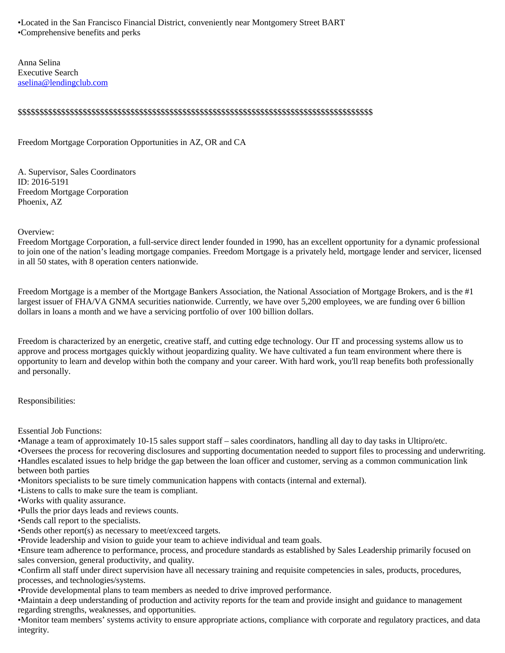•Located in the San Francisco Financial District, conveniently near Montgomery Street BART

•Comprehensive benefits and perks

Anna Selina Executive Search [aselina@lendingclub.com](mailto:aselina@lendingclub.com)

# \$\$\$\$\$\$\$\$\$\$\$\$\$\$\$\$\$\$\$\$\$\$\$\$\$\$\$\$\$\$\$\$\$\$\$\$\$\$\$\$\$\$\$\$\$\$\$\$\$\$\$\$\$\$\$\$\$\$\$\$\$\$\$\$\$\$\$\$\$\$\$\$\$\$\$\$\$\$\$\$\$\$

Freedom Mortgage Corporation Opportunities in AZ, OR and CA

A. Supervisor, Sales Coordinators ID: 2016-5191 Freedom Mortgage Corporation Phoenix, AZ

## Overview:

Freedom Mortgage Corporation, a full-service direct lender founded in 1990, has an excellent opportunity for a dynamic professional to join one of the nation's leading mortgage companies. Freedom Mortgage is a privately held, mortgage lender and servicer, licensed in all 50 states, with 8 operation centers nationwide.

Freedom Mortgage is a member of the Mortgage Bankers Association, the National Association of Mortgage Brokers, and is the #1 largest issuer of FHA/VA GNMA securities nationwide. Currently, we have over 5,200 employees, we are funding over 6 billion dollars in loans a month and we have a servicing portfolio of over 100 billion dollars.

Freedom is characterized by an energetic, creative staff, and cutting edge technology. Our IT and processing systems allow us to approve and process mortgages quickly without jeopardizing quality. We have cultivated a fun team environment where there is opportunity to learn and develop within both the company and your career. With hard work, you'll reap benefits both professionally and personally.

#### Responsibilities:

Essential Job Functions:

•Manage a team of approximately 10-15 sales support staff – sales coordinators, handling all day to day tasks in Ultipro/etc.

•Oversees the process for recovering disclosures and supporting documentation needed to support files to processing and underwriting. •Handles escalated issues to help bridge the gap between the loan officer and customer, serving as a common communication link between both parties

- •Monitors specialists to be sure timely communication happens with contacts (internal and external).
- •Listens to calls to make sure the team is compliant.
- •Works with quality assurance.
- •Pulls the prior days leads and reviews counts.
- •Sends call report to the specialists.
- •Sends other report(s) as necessary to meet/exceed targets.
- •Provide leadership and vision to guide your team to achieve individual and team goals.

•Ensure team adherence to performance, process, and procedure standards as established by Sales Leadership primarily focused on sales conversion, general productivity, and quality.

•Confirm all staff under direct supervision have all necessary training and requisite competencies in sales, products, procedures, processes, and technologies/systems.

•Provide developmental plans to team members as needed to drive improved performance.

•Maintain a deep understanding of production and activity reports for the team and provide insight and guidance to management regarding strengths, weaknesses, and opportunities.

•Monitor team members' systems activity to ensure appropriate actions, compliance with corporate and regulatory practices, and data integrity.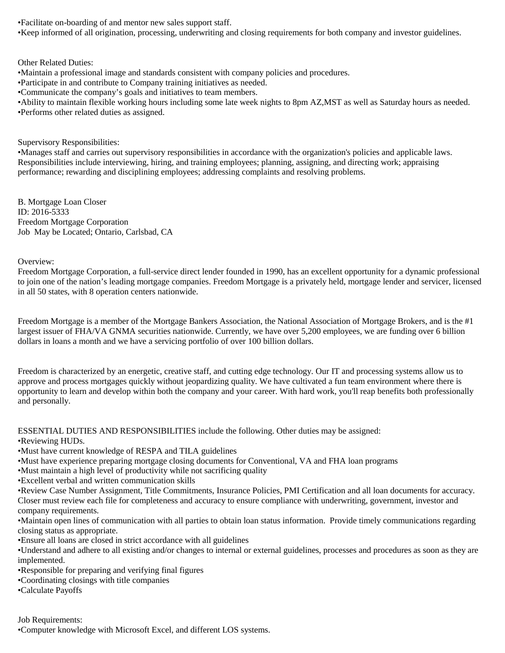•Facilitate on-boarding of and mentor new sales support staff.

•Keep informed of all origination, processing, underwriting and closing requirements for both company and investor guidelines.

Other Related Duties:

•Maintain a professional image and standards consistent with company policies and procedures.

•Participate in and contribute to Company training initiatives as needed.

•Communicate the company's goals and initiatives to team members.

•Ability to maintain flexible working hours including some late week nights to 8pm AZ,MST as well as Saturday hours as needed.

•Performs other related duties as assigned.

Supervisory Responsibilities:

•Manages staff and carries out supervisory responsibilities in accordance with the organization's policies and applicable laws. Responsibilities include interviewing, hiring, and training employees; planning, assigning, and directing work; appraising performance; rewarding and disciplining employees; addressing complaints and resolving problems.

B. Mortgage Loan Closer ID: 2016-5333 Freedom Mortgage Corporation Job May be Located; Ontario, Carlsbad, CA

# Overview:

Freedom Mortgage Corporation, a full-service direct lender founded in 1990, has an excellent opportunity for a dynamic professional to join one of the nation's leading mortgage companies. Freedom Mortgage is a privately held, mortgage lender and servicer, licensed in all 50 states, with 8 operation centers nationwide.

Freedom Mortgage is a member of the Mortgage Bankers Association, the National Association of Mortgage Brokers, and is the #1 largest issuer of FHA/VA GNMA securities nationwide. Currently, we have over 5,200 employees, we are funding over 6 billion dollars in loans a month and we have a servicing portfolio of over 100 billion dollars.

Freedom is characterized by an energetic, creative staff, and cutting edge technology. Our IT and processing systems allow us to approve and process mortgages quickly without jeopardizing quality. We have cultivated a fun team environment where there is opportunity to learn and develop within both the company and your career. With hard work, you'll reap benefits both professionally and personally.

ESSENTIAL DUTIES AND RESPONSIBILITIES include the following. Other duties may be assigned:

•Reviewing HUDs.

- •Must have current knowledge of RESPA and TILA guidelines
- •Must have experience preparing mortgage closing documents for Conventional, VA and FHA loan programs

•Must maintain a high level of productivity while not sacrificing quality

•Excellent verbal and written communication skills

•Review Case Number Assignment, Title Commitments, Insurance Policies, PMI Certification and all loan documents for accuracy. Closer must review each file for completeness and accuracy to ensure compliance with underwriting, government, investor and company requirements.

•Maintain open lines of communication with all parties to obtain loan status information. Provide timely communications regarding closing status as appropriate.

•Ensure all loans are closed in strict accordance with all guidelines

•Understand and adhere to all existing and/or changes to internal or external guidelines, processes and procedures as soon as they are implemented.

- •Responsible for preparing and verifying final figures
- •Coordinating closings with title companies

•Calculate Payoffs

Job Requirements:

•Computer knowledge with Microsoft Excel, and different LOS systems.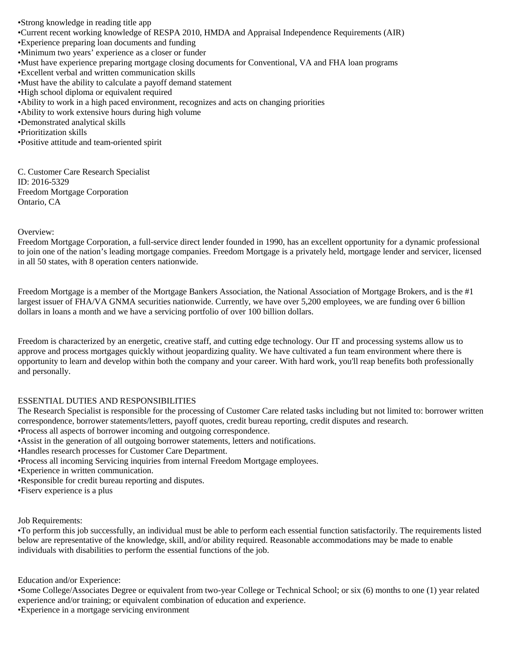- •Strong knowledge in reading title app
- •Current recent working knowledge of RESPA 2010, HMDA and Appraisal Independence Requirements (AIR)
- •Experience preparing loan documents and funding
- •Minimum two years' experience as a closer or funder
- •Must have experience preparing mortgage closing documents for Conventional, VA and FHA loan programs
- •Excellent verbal and written communication skills
- •Must have the ability to calculate a payoff demand statement
- •High school diploma or equivalent required
- •Ability to work in a high paced environment, recognizes and acts on changing priorities
- •Ability to work extensive hours during high volume
- •Demonstrated analytical skills
- •Prioritization skills
- •Positive attitude and team-oriented spirit

C. Customer Care Research Specialist ID: 2016-5329 Freedom Mortgage Corporation Ontario, CA

# Overview:

Freedom Mortgage Corporation, a full-service direct lender founded in 1990, has an excellent opportunity for a dynamic professional to join one of the nation's leading mortgage companies. Freedom Mortgage is a privately held, mortgage lender and servicer, licensed in all 50 states, with 8 operation centers nationwide.

Freedom Mortgage is a member of the Mortgage Bankers Association, the National Association of Mortgage Brokers, and is the #1 largest issuer of FHA/VA GNMA securities nationwide. Currently, we have over 5,200 employees, we are funding over 6 billion dollars in loans a month and we have a servicing portfolio of over 100 billion dollars.

Freedom is characterized by an energetic, creative staff, and cutting edge technology. Our IT and processing systems allow us to approve and process mortgages quickly without jeopardizing quality. We have cultivated a fun team environment where there is opportunity to learn and develop within both the company and your career. With hard work, you'll reap benefits both professionally and personally.

# ESSENTIAL DUTIES AND RESPONSIBILITIES

The Research Specialist is responsible for the processing of Customer Care related tasks including but not limited to: borrower written correspondence, borrower statements/letters, payoff quotes, credit bureau reporting, credit disputes and research.

- •Process all aspects of borrower incoming and outgoing correspondence.
- •Assist in the generation of all outgoing borrower statements, letters and notifications.
- •Handles research processes for Customer Care Department.
- •Process all incoming Servicing inquiries from internal Freedom Mortgage employees.
- •Experience in written communication.
- •Responsible for credit bureau reporting and disputes.
- •Fiserv experience is a plus

#### Job Requirements:

•To perform this job successfully, an individual must be able to perform each essential function satisfactorily. The requirements listed below are representative of the knowledge, skill, and/or ability required. Reasonable accommodations may be made to enable individuals with disabilities to perform the essential functions of the job.

### Education and/or Experience:

•Some College/Associates Degree or equivalent from two-year College or Technical School; or six (6) months to one (1) year related experience and/or training; or equivalent combination of education and experience.

•Experience in a mortgage servicing environment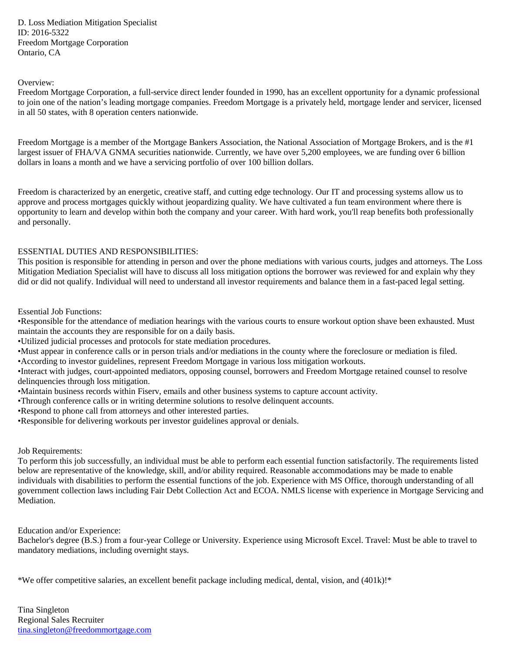D. Loss Mediation Mitigation Specialist ID: 2016-5322 Freedom Mortgage Corporation Ontario, CA

Overview:

Freedom Mortgage Corporation, a full-service direct lender founded in 1990, has an excellent opportunity for a dynamic professional to join one of the nation's leading mortgage companies. Freedom Mortgage is a privately held, mortgage lender and servicer, licensed in all 50 states, with 8 operation centers nationwide.

Freedom Mortgage is a member of the Mortgage Bankers Association, the National Association of Mortgage Brokers, and is the #1 largest issuer of FHA/VA GNMA securities nationwide. Currently, we have over 5,200 employees, we are funding over 6 billion dollars in loans a month and we have a servicing portfolio of over 100 billion dollars.

Freedom is characterized by an energetic, creative staff, and cutting edge technology. Our IT and processing systems allow us to approve and process mortgages quickly without jeopardizing quality. We have cultivated a fun team environment where there is opportunity to learn and develop within both the company and your career. With hard work, you'll reap benefits both professionally and personally.

# ESSENTIAL DUTIES AND RESPONSIBILITIES:

This position is responsible for attending in person and over the phone mediations with various courts, judges and attorneys. The Loss Mitigation Mediation Specialist will have to discuss all loss mitigation options the borrower was reviewed for and explain why they did or did not qualify. Individual will need to understand all investor requirements and balance them in a fast-paced legal setting.

#### Essential Job Functions:

•Responsible for the attendance of mediation hearings with the various courts to ensure workout option shave been exhausted. Must maintain the accounts they are responsible for on a daily basis.

•Utilized judicial processes and protocols for state mediation procedures.

•Must appear in conference calls or in person trials and/or mediations in the county where the foreclosure or mediation is filed.

•According to investor guidelines, represent Freedom Mortgage in various loss mitigation workouts.

•Interact with judges, court-appointed mediators, opposing counsel, borrowers and Freedom Mortgage retained counsel to resolve delinquencies through loss mitigation.

- •Maintain business records within Fiserv, emails and other business systems to capture account activity.
- •Through conference calls or in writing determine solutions to resolve delinquent accounts.
- •Respond to phone call from attorneys and other interested parties.
- •Responsible for delivering workouts per investor guidelines approval or denials.

#### Job Requirements:

To perform this job successfully, an individual must be able to perform each essential function satisfactorily. The requirements listed below are representative of the knowledge, skill, and/or ability required. Reasonable accommodations may be made to enable individuals with disabilities to perform the essential functions of the job. Experience with MS Office, thorough understanding of all government collection laws including Fair Debt Collection Act and ECOA. NMLS license with experience in Mortgage Servicing and Mediation.

Education and/or Experience:

Bachelor's degree (B.S.) from a four-year College or University. Experience using Microsoft Excel. Travel: Must be able to travel to mandatory mediations, including overnight stays.

\*We offer competitive salaries, an excellent benefit package including medical, dental, vision, and (401k)!\*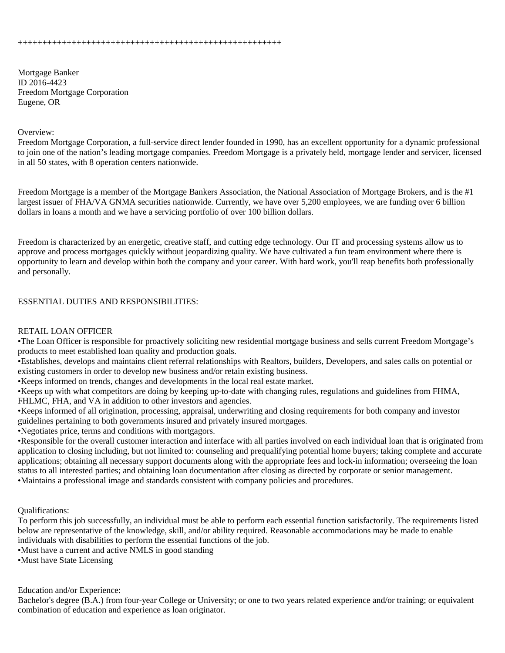++++++++++++++++++++++++++++++++++++++++++++++++++++++

Mortgage Banker ID 2016-4423 Freedom Mortgage Corporation Eugene, OR

Overview:

Freedom Mortgage Corporation, a full-service direct lender founded in 1990, has an excellent opportunity for a dynamic professional to join one of the nation's leading mortgage companies. Freedom Mortgage is a privately held, mortgage lender and servicer, licensed in all 50 states, with 8 operation centers nationwide.

Freedom Mortgage is a member of the Mortgage Bankers Association, the National Association of Mortgage Brokers, and is the #1 largest issuer of FHA/VA GNMA securities nationwide. Currently, we have over 5,200 employees, we are funding over 6 billion dollars in loans a month and we have a servicing portfolio of over 100 billion dollars.

Freedom is characterized by an energetic, creative staff, and cutting edge technology. Our IT and processing systems allow us to approve and process mortgages quickly without jeopardizing quality. We have cultivated a fun team environment where there is opportunity to learn and develop within both the company and your career. With hard work, you'll reap benefits both professionally and personally.

ESSENTIAL DUTIES AND RESPONSIBILITIES:

### RETAIL LOAN OFFICER

•The Loan Officer is responsible for proactively soliciting new residential mortgage business and sells current Freedom Mortgage's products to meet established loan quality and production goals.

•Establishes, develops and maintains client referral relationships with Realtors, builders, Developers, and sales calls on potential or existing customers in order to develop new business and/or retain existing business.

•Keeps informed on trends, changes and developments in the local real estate market.

•Keeps up with what competitors are doing by keeping up-to-date with changing rules, regulations and guidelines from FHMA, FHLMC, FHA, and VA in addition to other investors and agencies.

•Keeps informed of all origination, processing, appraisal, underwriting and closing requirements for both company and investor guidelines pertaining to both governments insured and privately insured mortgages.

•Negotiates price, terms and conditions with mortgagors.

•Responsible for the overall customer interaction and interface with all parties involved on each individual loan that is originated from application to closing including, but not limited to: counseling and prequalifying potential home buyers; taking complete and accurate applications; obtaining all necessary support documents along with the appropriate fees and lock-in information; overseeing the loan status to all interested parties; and obtaining loan documentation after closing as directed by corporate or senior management. •Maintains a professional image and standards consistent with company policies and procedures.

Qualifications:

To perform this job successfully, an individual must be able to perform each essential function satisfactorily. The requirements listed below are representative of the knowledge, skill, and/or ability required. Reasonable accommodations may be made to enable individuals with disabilities to perform the essential functions of the job.

•Must have a current and active NMLS in good standing

•Must have State Licensing

Education and/or Experience:

Bachelor's degree (B.A.) from four-year College or University; or one to two years related experience and/or training; or equivalent combination of education and experience as loan originator.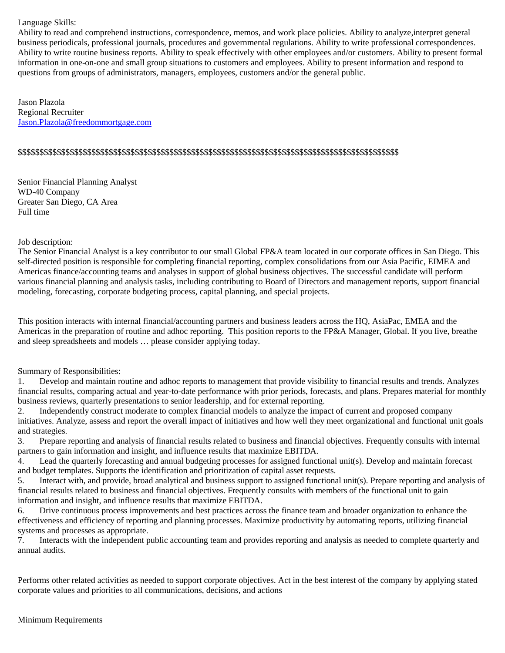# Language Skills:

Ability to read and comprehend instructions, correspondence, memos, and work place policies. Ability to analyze,interpret general business periodicals, professional journals, procedures and governmental regulations. Ability to write professional correspondences. Ability to write routine business reports. Ability to speak effectively with other employees and/or customers. Ability to present formal information in one-on-one and small group situations to customers and employees. Ability to present information and respond to questions from groups of administrators, managers, employees, customers and/or the general public.

Jason Plazola Regional Recruiter [Jason.Plazola@freedommortgage.com](mailto:Jason.Plazola@freedommortgage.com)

#### \$\$\$\$\$\$\$\$\$\$\$\$\$\$\$\$\$\$\$\$\$\$\$\$\$\$\$\$\$\$\$\$\$\$\$\$\$\$\$\$\$\$\$\$\$\$\$\$\$\$\$\$\$\$\$\$\$\$\$\$\$\$\$\$\$\$\$\$\$\$\$\$\$\$\$\$\$\$\$\$\$\$\$\$\$\$\$\$

Senior Financial Planning Analyst WD-40 Company Greater San Diego, CA Area Full time

Job description:

The Senior Financial Analyst is a key contributor to our small Global FP&A team located in our corporate offices in San Diego. This self-directed position is responsible for completing financial reporting, complex consolidations from our Asia Pacific, EIMEA and Americas finance/accounting teams and analyses in support of global business objectives. The successful candidate will perform various financial planning and analysis tasks, including contributing to Board of Directors and management reports, support financial modeling, forecasting, corporate budgeting process, capital planning, and special projects.

This position interacts with internal financial/accounting partners and business leaders across the HQ, AsiaPac, EMEA and the Americas in the preparation of routine and adhoc reporting. This position reports to the FP&A Manager, Global. If you live, breathe and sleep spreadsheets and models … please consider applying today.

Summary of Responsibilities:

1. Develop and maintain routine and adhoc reports to management that provide visibility to financial results and trends. Analyzes financial results, comparing actual and year-to-date performance with prior periods, forecasts, and plans. Prepares material for monthly business reviews, quarterly presentations to senior leadership, and for external reporting.

2. Independently construct moderate to complex financial models to analyze the impact of current and proposed company initiatives. Analyze, assess and report the overall impact of initiatives and how well they meet organizational and functional unit goals and strategies.

3. Prepare reporting and analysis of financial results related to business and financial objectives. Frequently consults with internal partners to gain information and insight, and influence results that maximize EBITDA.

4. Lead the quarterly forecasting and annual budgeting processes for assigned functional unit(s). Develop and maintain forecast and budget templates. Supports the identification and prioritization of capital asset requests.

5. Interact with, and provide, broad analytical and business support to assigned functional unit(s). Prepare reporting and analysis of financial results related to business and financial objectives. Frequently consults with members of the functional unit to gain information and insight, and influence results that maximize EBITDA.

6. Drive continuous process improvements and best practices across the finance team and broader organization to enhance the effectiveness and efficiency of reporting and planning processes. Maximize productivity by automating reports, utilizing financial systems and processes as appropriate.

7. Interacts with the independent public accounting team and provides reporting and analysis as needed to complete quarterly and annual audits.

Performs other related activities as needed to support corporate objectives. Act in the best interest of the company by applying stated corporate values and priorities to all communications, decisions, and actions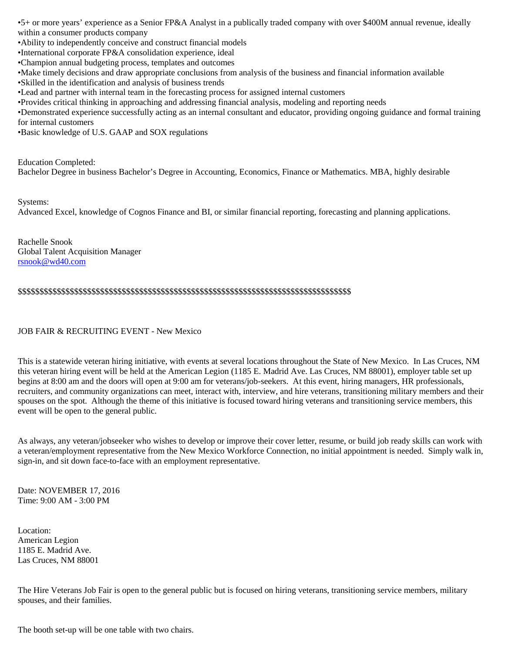•5+ or more years' experience as a Senior FP&A Analyst in a publically traded company with over \$400M annual revenue, ideally within a consumer products company

•Ability to independently conceive and construct financial models

•International corporate FP&A consolidation experience, ideal

•Champion annual budgeting process, templates and outcomes

•Make timely decisions and draw appropriate conclusions from analysis of the business and financial information available

•Skilled in the identification and analysis of business trends

•Lead and partner with internal team in the forecasting process for assigned internal customers

•Provides critical thinking in approaching and addressing financial analysis, modeling and reporting needs

•Demonstrated experience successfully acting as an internal consultant and educator, providing ongoing guidance and formal training for internal customers

•Basic knowledge of U.S. GAAP and SOX regulations

Education Completed: Bachelor Degree in business Bachelor's Degree in Accounting, Economics, Finance or Mathematics. MBA, highly desirable

Systems: Advanced Excel, knowledge of Cognos Finance and BI, or similar financial reporting, forecasting and planning applications.

Rachelle Snook Global Talent Acquisition Manager [rsnook@wd40.com](mailto:rsnook@wd40.com)

# \$\$\$\$\$\$\$\$\$\$\$\$\$\$\$\$\$\$\$\$\$\$\$\$\$\$\$\$\$\$\$\$\$\$\$\$\$\$\$\$\$\$\$\$\$\$\$\$\$\$\$\$\$\$\$\$\$\$\$\$\$\$\$\$\$\$\$\$\$\$\$\$\$\$\$\$\$

# JOB FAIR & RECRUITING EVENT - New Mexico

This is a statewide veteran hiring initiative, with events at several locations throughout the State of New Mexico. In Las Cruces, NM this veteran hiring event will be held at the American Legion (1185 E. Madrid Ave. Las Cruces, NM 88001), employer table set up begins at 8:00 am and the doors will open at 9:00 am for veterans/job-seekers. At this event, hiring managers, HR professionals, recruiters, and community organizations can meet, interact with, interview, and hire veterans, transitioning military members and their spouses on the spot. Although the theme of this initiative is focused toward hiring veterans and transitioning service members, this event will be open to the general public.

As always, any veteran/jobseeker who wishes to develop or improve their cover letter, resume, or build job ready skills can work with a veteran/employment representative from the New Mexico Workforce Connection, no initial appointment is needed. Simply walk in, sign-in, and sit down face-to-face with an employment representative.

Date: NOVEMBER 17, 2016 Time: 9:00 AM - 3:00 PM

Location: American Legion 1185 E. Madrid Ave. Las Cruces, NM 88001

The Hire Veterans Job Fair is open to the general public but is focused on hiring veterans, transitioning service members, military spouses, and their families.

The booth set-up will be one table with two chairs.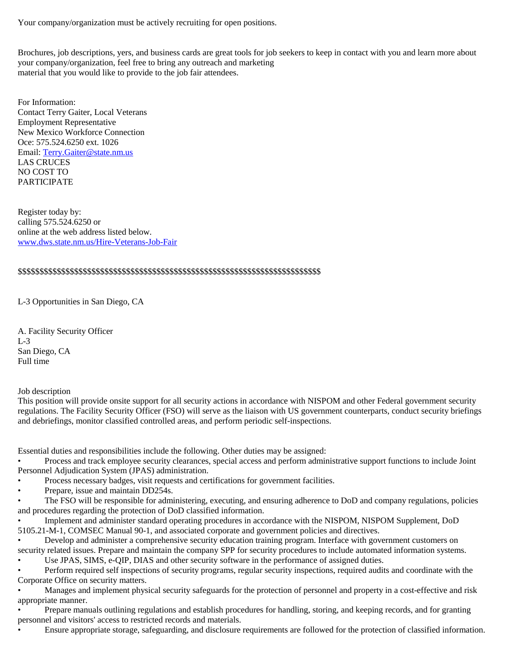Your company/organization must be actively recruiting for open positions.

Brochures, job descriptions, yers, and business cards are great tools for job seekers to keep in contact with you and learn more about your company/organization, feel free to bring any outreach and marketing material that you would like to provide to the job fair attendees.

For Information: Contact Terry Gaiter, Local Veterans Employment Representative New Mexico Workforce Connection Oce: 575.524.6250 ext. 1026 Email: [Terry.Gaiter@state.nm.us](mailto:Terry.Gaiter@state.nm.us) LAS CRUCES NO COST TO PARTICIPATE

Register today by: calling 575.524.6250 or online at the web address listed below. [www.dws.state.nm.us/Hire-Veterans-Job-Fair](http://www.dws.state.nm.us/Hire-Veterans-Job-Fair)

# \$\$\$\$\$\$\$\$\$\$\$\$\$\$\$\$\$\$\$\$\$\$\$\$\$\$\$\$\$\$\$\$\$\$\$\$\$\$\$\$\$\$\$\$\$\$\$\$\$\$\$\$\$\$\$\$\$\$\$\$\$\$\$\$\$\$\$\$\$\$

L-3 Opportunities in San Diego, CA

A. Facility Security Officer  $L-3$ San Diego, CA Full time

Job description

This position will provide onsite support for all security actions in accordance with NISPOM and other Federal government security regulations. The Facility Security Officer (FSO) will serve as the liaison with US government counterparts, conduct security briefings and debriefings, monitor classified controlled areas, and perform periodic self-inspections.

Essential duties and responsibilities include the following. Other duties may be assigned:

• Process and track employee security clearances, special access and perform administrative support functions to include Joint Personnel Adjudication System (JPAS) administration.

- Process necessary badges, visit requests and certifications for government facilities.
- Prepare, issue and maintain DD254s.
- The FSO will be responsible for administering, executing, and ensuring adherence to DoD and company regulations, policies and procedures regarding the protection of DoD classified information.
- Implement and administer standard operating procedures in accordance with the NISPOM, NISPOM Supplement, DoD 5105.21-M-1, COMSEC Manual 90-1, and associated corporate and government policies and directives.
- Develop and administer a comprehensive security education training program. Interface with government customers on security related issues. Prepare and maintain the company SPP for security procedures to include automated information systems.
- Use JPAS, SIMS, e-QIP, DIAS and other security software in the performance of assigned duties.
- Perform required self inspections of security programs, regular security inspections, required audits and coordinate with the Corporate Office on security matters.
- Manages and implement physical security safeguards for the protection of personnel and property in a cost-effective and risk appropriate manner.
- Prepare manuals outlining regulations and establish procedures for handling, storing, and keeping records, and for granting personnel and visitors' access to restricted records and materials.
- Ensure appropriate storage, safeguarding, and disclosure requirements are followed for the protection of classified information.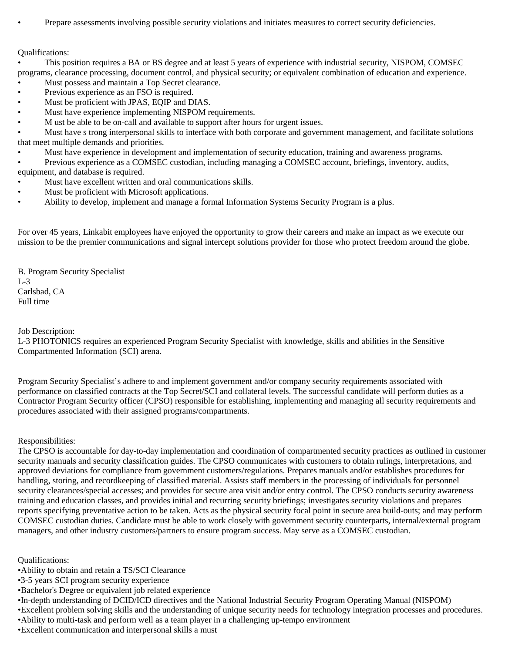• Prepare assessments involving possible security violations and initiates measures to correct security deficiencies.

# Qualifications:

• This position requires a BA or BS degree and at least 5 years of experience with industrial security, NISPOM, COMSEC programs, clearance processing, document control, and physical security; or equivalent combination of education and experience.

- Must possess and maintain a Top Secret clearance.
- Previous experience as an FSO is required.
- Must be proficient with JPAS, EQIP and DIAS.
- Must have experience implementing NISPOM requirements.
- M ust be able to be on-call and available to support after hours for urgent issues.

• Must have s trong interpersonal skills to interface with both corporate and government management, and facilitate solutions that meet multiple demands and priorities.

- Must have experience in development and implementation of security education, training and awareness programs.
- Previous experience as a COMSEC custodian, including managing a COMSEC account, briefings, inventory, audits, equipment, and database is required.
- Must have excellent written and oral communications skills.
- Must be proficient with Microsoft applications.
- Ability to develop, implement and manage a formal Information Systems Security Program is a plus.

For over 45 years, Linkabit employees have enjoyed the opportunity to grow their careers and make an impact as we execute our mission to be the premier communications and signal intercept solutions provider for those who protect freedom around the globe.

B. Program Security Specialist L-3 Carlsbad, CA Full time

Job Description:

L-3 PHOTONICS requires an experienced Program Security Specialist with knowledge, skills and abilities in the Sensitive Compartmented Information (SCI) arena.

Program Security Specialist's adhere to and implement government and/or company security requirements associated with performance on classified contracts at the Top Secret/SCI and collateral levels. The successful candidate will perform duties as a Contractor Program Security officer (CPSO) responsible for establishing, implementing and managing all security requirements and procedures associated with their assigned programs/compartments.

Responsibilities:

The CPSO is accountable for day-to-day implementation and coordination of compartmented security practices as outlined in customer security manuals and security classification guides. The CPSO communicates with customers to obtain rulings, interpretations, and approved deviations for compliance from government customers/regulations. Prepares manuals and/or establishes procedures for handling, storing, and recordkeeping of classified material. Assists staff members in the processing of individuals for personnel security clearances/special accesses; and provides for secure area visit and/or entry control. The CPSO conducts security awareness training and education classes, and provides initial and recurring security briefings; investigates security violations and prepares reports specifying preventative action to be taken. Acts as the physical security focal point in secure area build-outs; and may perform COMSEC custodian duties. Candidate must be able to work closely with government security counterparts, internal/external program managers, and other industry customers/partners to ensure program success. May serve as a COMSEC custodian.

Qualifications:

- •Ability to obtain and retain a TS/SCI Clearance
- •3-5 years SCI program security experience
- •Bachelor's Degree or equivalent job related experience
- •In-depth understanding of DCID/ICD directives and the National Industrial Security Program Operating Manual (NISPOM)
- •Excellent problem solving skills and the understanding of unique security needs for technology integration processes and procedures.
- •Ability to multi-task and perform well as a team player in a challenging up-tempo environment
- •Excellent communication and interpersonal skills a must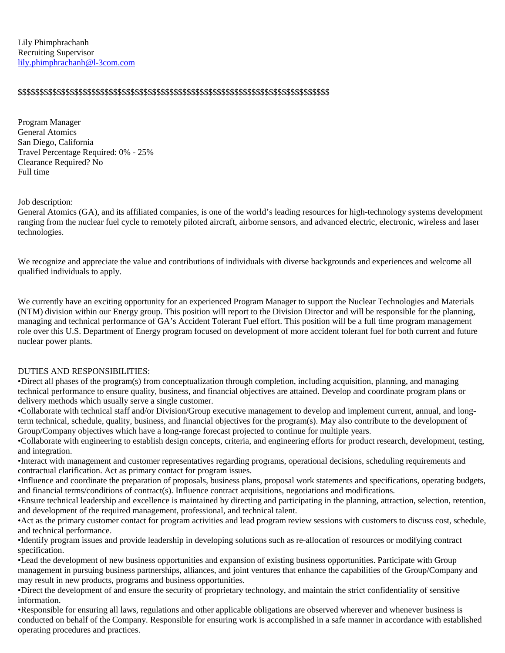### \$\$\$\$\$\$\$\$\$\$\$\$\$\$\$\$\$\$\$\$\$\$\$\$\$\$\$\$\$\$\$\$\$\$\$\$\$\$\$\$\$\$\$\$\$\$\$\$\$\$\$\$\$\$\$\$\$\$\$\$\$\$\$\$\$\$\$\$\$\$\$\$

Program Manager General Atomics San Diego, California Travel Percentage Required: 0% - 25% Clearance Required? No Full time

Job description:

General Atomics (GA), and its affiliated companies, is one of the world's leading resources for high-technology systems development ranging from the nuclear fuel cycle to remotely piloted aircraft, airborne sensors, and advanced electric, electronic, wireless and laser technologies.

We recognize and appreciate the value and contributions of individuals with diverse backgrounds and experiences and welcome all qualified individuals to apply.

We currently have an exciting opportunity for an experienced Program Manager to support the Nuclear Technologies and Materials (NTM) division within our Energy group. This position will report to the Division Director and will be responsible for the planning, managing and technical performance of GA's Accident Tolerant Fuel effort. This position will be a full time program management role over this U.S. Department of Energy program focused on development of more accident tolerant fuel for both current and future nuclear power plants.

# DUTIES AND RESPONSIBILITIES:

•Direct all phases of the program(s) from conceptualization through completion, including acquisition, planning, and managing technical performance to ensure quality, business, and financial objectives are attained. Develop and coordinate program plans or delivery methods which usually serve a single customer.

•Collaborate with technical staff and/or Division/Group executive management to develop and implement current, annual, and longterm technical, schedule, quality, business, and financial objectives for the program(s). May also contribute to the development of Group/Company objectives which have a long-range forecast projected to continue for multiple years.

•Collaborate with engineering to establish design concepts, criteria, and engineering efforts for product research, development, testing, and integration.

•Interact with management and customer representatives regarding programs, operational decisions, scheduling requirements and contractual clarification. Act as primary contact for program issues.

•Influence and coordinate the preparation of proposals, business plans, proposal work statements and specifications, operating budgets, and financial terms/conditions of contract(s). Influence contract acquisitions, negotiations and modifications.

•Ensure technical leadership and excellence is maintained by directing and participating in the planning, attraction, selection, retention, and development of the required management, professional, and technical talent.

•Act as the primary customer contact for program activities and lead program review sessions with customers to discuss cost, schedule, and technical performance.

•Identify program issues and provide leadership in developing solutions such as re-allocation of resources or modifying contract specification.

•Lead the development of new business opportunities and expansion of existing business opportunities. Participate with Group management in pursuing business partnerships, alliances, and joint ventures that enhance the capabilities of the Group/Company and may result in new products, programs and business opportunities.

•Direct the development of and ensure the security of proprietary technology, and maintain the strict confidentiality of sensitive information.

•Responsible for ensuring all laws, regulations and other applicable obligations are observed wherever and whenever business is conducted on behalf of the Company. Responsible for ensuring work is accomplished in a safe manner in accordance with established operating procedures and practices.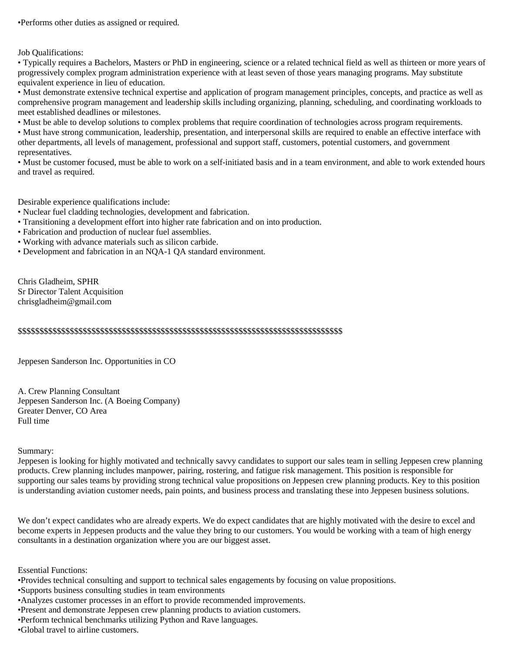•Performs other duties as assigned or required.

Job Qualifications:

• Typically requires a Bachelors, Masters or PhD in engineering, science or a related technical field as well as thirteen or more years of progressively complex program administration experience with at least seven of those years managing programs. May substitute equivalent experience in lieu of education.

• Must demonstrate extensive technical expertise and application of program management principles, concepts, and practice as well as comprehensive program management and leadership skills including organizing, planning, scheduling, and coordinating workloads to meet established deadlines or milestones.

• Must be able to develop solutions to complex problems that require coordination of technologies across program requirements.

• Must have strong communication, leadership, presentation, and interpersonal skills are required to enable an effective interface with other departments, all levels of management, professional and support staff, customers, potential customers, and government representatives.

• Must be customer focused, must be able to work on a self-initiated basis and in a team environment, and able to work extended hours and travel as required.

Desirable experience qualifications include:

- Nuclear fuel cladding technologies, development and fabrication.
- Transitioning a development effort into higher rate fabrication and on into production.
- Fabrication and production of nuclear fuel assemblies.
- Working with advance materials such as silicon carbide.
- Development and fabrication in an NQA-1 QA standard environment.

Chris Gladheim, SPHR Sr Director Talent Acquisition chrisgladheim@gmail.com

# \$\$\$\$\$\$\$\$\$\$\$\$\$\$\$\$\$\$\$\$\$\$\$\$\$\$\$\$\$\$\$\$\$\$\$\$\$\$\$\$\$\$\$\$\$\$\$\$\$\$\$\$\$\$\$\$\$\$\$\$\$\$\$\$\$\$\$\$\$\$\$\$\$\$\$

Jeppesen Sanderson Inc. Opportunities in CO

A. Crew Planning Consultant Jeppesen Sanderson Inc. (A Boeing Company) Greater Denver, CO Area Full time

Summary:

Jeppesen is looking for highly motivated and technically savvy candidates to support our sales team in selling Jeppesen crew planning products. Crew planning includes manpower, pairing, rostering, and fatigue risk management. This position is responsible for supporting our sales teams by providing strong technical value propositions on Jeppesen crew planning products. Key to this position is understanding aviation customer needs, pain points, and business process and translating these into Jeppesen business solutions.

We don't expect candidates who are already experts. We do expect candidates that are highly motivated with the desire to excel and become experts in Jeppesen products and the value they bring to our customers. You would be working with a team of high energy consultants in a destination organization where you are our biggest asset.

Essential Functions:

- •Provides technical consulting and support to technical sales engagements by focusing on value propositions.
- •Supports business consulting studies in team environments
- •Analyzes customer processes in an effort to provide recommended improvements.
- •Present and demonstrate Jeppesen crew planning products to aviation customers.
- •Perform technical benchmarks utilizing Python and Rave languages.
- •Global travel to airline customers.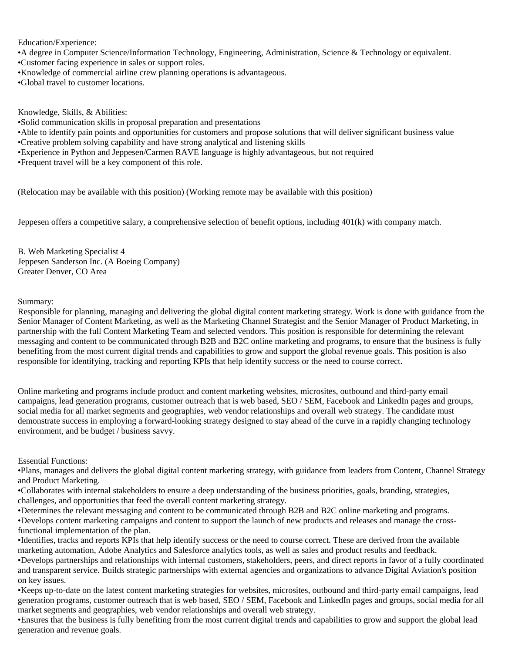Education/Experience:

•A degree in Computer Science/Information Technology, Engineering, Administration, Science & Technology or equivalent.

•Customer facing experience in sales or support roles.

•Knowledge of commercial airline crew planning operations is advantageous.

•Global travel to customer locations.

### Knowledge, Skills, & Abilities:

•Solid communication skills in proposal preparation and presentations

•Able to identify pain points and opportunities for customers and propose solutions that will deliver significant business value •Creative problem solving capability and have strong analytical and listening skills

•Experience in Python and Jeppesen/Carmen RAVE language is highly advantageous, but not required

•Frequent travel will be a key component of this role.

(Relocation may be available with this position) (Working remote may be available with this position)

Jeppesen offers a competitive salary, a comprehensive selection of benefit options, including 401(k) with company match.

B. Web Marketing Specialist 4 Jeppesen Sanderson Inc. (A Boeing Company) Greater Denver, CO Area

# Summary:

Responsible for planning, managing and delivering the global digital content marketing strategy. Work is done with guidance from the Senior Manager of Content Marketing, as well as the Marketing Channel Strategist and the Senior Manager of Product Marketing, in partnership with the full Content Marketing Team and selected vendors. This position is responsible for determining the relevant messaging and content to be communicated through B2B and B2C online marketing and programs, to ensure that the business is fully benefiting from the most current digital trends and capabilities to grow and support the global revenue goals. This position is also responsible for identifying, tracking and reporting KPIs that help identify success or the need to course correct.

Online marketing and programs include product and content marketing websites, microsites, outbound and third-party email campaigns, lead generation programs, customer outreach that is web based, SEO / SEM, Facebook and LinkedIn pages and groups, social media for all market segments and geographies, web vendor relationships and overall web strategy. The candidate must demonstrate success in employing a forward-looking strategy designed to stay ahead of the curve in a rapidly changing technology environment, and be budget / business savvy.

#### Essential Functions:

•Plans, manages and delivers the global digital content marketing strategy, with guidance from leaders from Content, Channel Strategy and Product Marketing.

•Collaborates with internal stakeholders to ensure a deep understanding of the business priorities, goals, branding, strategies, challenges, and opportunities that feed the overall content marketing strategy.

•Determines the relevant messaging and content to be communicated through B2B and B2C online marketing and programs. •Develops content marketing campaigns and content to support the launch of new products and releases and manage the crossfunctional implementation of the plan.

•Identifies, tracks and reports KPIs that help identify success or the need to course correct. These are derived from the available marketing automation, Adobe Analytics and Salesforce analytics tools, as well as sales and product results and feedback.

•Develops partnerships and relationships with internal customers, stakeholders, peers, and direct reports in favor of a fully coordinated and transparent service. Builds strategic partnerships with external agencies and organizations to advance Digital Aviation's position on key issues.

•Keeps up-to-date on the latest content marketing strategies for websites, microsites, outbound and third-party email campaigns, lead generation programs, customer outreach that is web based, SEO / SEM, Facebook and LinkedIn pages and groups, social media for all market segments and geographies, web vendor relationships and overall web strategy.

•Ensures that the business is fully benefiting from the most current digital trends and capabilities to grow and support the global lead generation and revenue goals.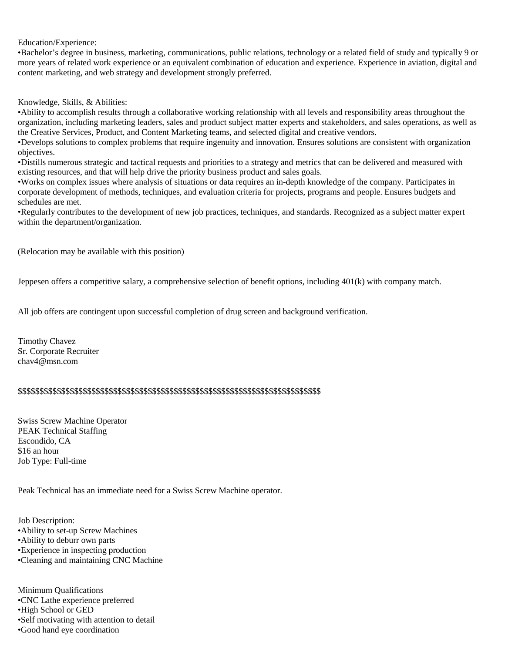Education/Experience:

•Bachelor's degree in business, marketing, communications, public relations, technology or a related field of study and typically 9 or more years of related work experience or an equivalent combination of education and experience. Experience in aviation, digital and content marketing, and web strategy and development strongly preferred.

Knowledge, Skills, & Abilities:

•Ability to accomplish results through a collaborative working relationship with all levels and responsibility areas throughout the organization, including marketing leaders, sales and product subject matter experts and stakeholders, and sales operations, as well as the Creative Services, Product, and Content Marketing teams, and selected digital and creative vendors.

•Develops solutions to complex problems that require ingenuity and innovation. Ensures solutions are consistent with organization objectives.

•Distills numerous strategic and tactical requests and priorities to a strategy and metrics that can be delivered and measured with existing resources, and that will help drive the priority business product and sales goals.

•Works on complex issues where analysis of situations or data requires an in-depth knowledge of the company. Participates in corporate development of methods, techniques, and evaluation criteria for projects, programs and people. Ensures budgets and schedules are met.

•Regularly contributes to the development of new job practices, techniques, and standards. Recognized as a subject matter expert within the department/organization.

(Relocation may be available with this position)

Jeppesen offers a competitive salary, a comprehensive selection of benefit options, including 401(k) with company match.

All job offers are contingent upon successful completion of drug screen and background verification.

Timothy Chavez Sr. Corporate Recruiter chav4@msn.com

# \$\$\$\$\$\$\$\$\$\$\$\$\$\$\$\$\$\$\$\$\$\$\$\$\$\$\$\$\$\$\$\$\$\$\$\$\$\$\$\$\$\$\$\$\$\$\$\$\$\$\$\$\$\$\$\$\$\$\$\$\$\$\$\$\$\$\$\$\$\$

Swiss Screw Machine Operator PEAK Technical Staffing Escondido, CA \$16 an hour Job Type: Full-time

Peak Technical has an immediate need for a Swiss Screw Machine operator.

Job Description:

- •Ability to set-up Screw Machines
- •Ability to deburr own parts
- •Experience in inspecting production
- •Cleaning and maintaining CNC Machine

Minimum Qualifications

•CNC Lathe experience preferred

•High School or GED

•Self motivating with attention to detail

•Good hand eye coordination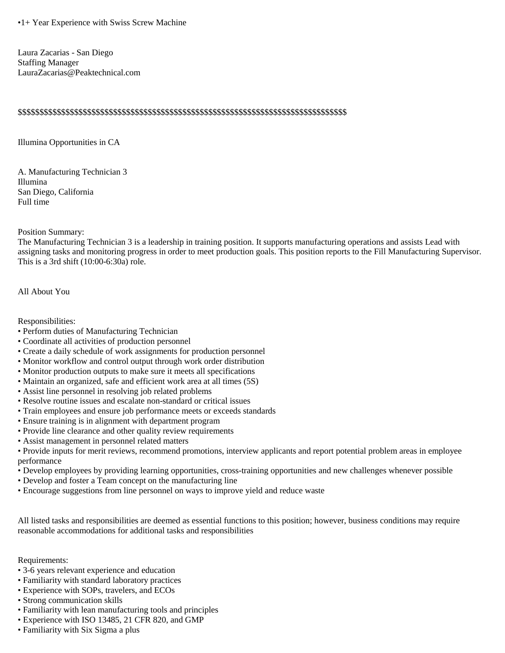•1+ Year Experience with Swiss Screw Machine

Laura Zacarias - San Diego Staffing Manager LauraZacarias@Peaktechnical.com

#### \$\$\$\$\$\$\$\$\$\$\$\$\$\$\$\$\$\$\$\$\$\$\$\$\$\$\$\$\$\$\$\$\$\$\$\$\$\$\$\$\$\$\$\$\$\$\$\$\$\$\$\$\$\$\$\$\$\$\$\$\$\$\$\$\$\$\$\$\$\$\$\$\$\$\$\$

Illumina Opportunities in CA

A. Manufacturing Technician 3 Illumina San Diego, California Full time

Position Summary:

The Manufacturing Technician 3 is a leadership in training position. It supports manufacturing operations and assists Lead with assigning tasks and monitoring progress in order to meet production goals. This position reports to the Fill Manufacturing Supervisor. This is a 3rd shift (10:00-6:30a) role.

All About You

#### Responsibilities:

- Perform duties of Manufacturing Technician
- Coordinate all activities of production personnel
- Create a daily schedule of work assignments for production personnel
- Monitor workflow and control output through work order distribution
- Monitor production outputs to make sure it meets all specifications
- Maintain an organized, safe and efficient work area at all times (5S)
- Assist line personnel in resolving job related problems
- Resolve routine issues and escalate non-standard or critical issues
- Train employees and ensure job performance meets or exceeds standards
- Ensure training is in alignment with department program
- Provide line clearance and other quality review requirements
- Assist management in personnel related matters
- Provide inputs for merit reviews, recommend promotions, interview applicants and report potential problem areas in employee performance
- Develop employees by providing learning opportunities, cross-training opportunities and new challenges whenever possible
- Develop and foster a Team concept on the manufacturing line
- Encourage suggestions from line personnel on ways to improve yield and reduce waste

All listed tasks and responsibilities are deemed as essential functions to this position; however, business conditions may require reasonable accommodations for additional tasks and responsibilities

Requirements:

- 3-6 years relevant experience and education
- Familiarity with standard laboratory practices
- Experience with SOPs, travelers, and ECOs
- Strong communication skills
- Familiarity with lean manufacturing tools and principles
- Experience with ISO 13485, 21 CFR 820, and GMP
- Familiarity with Six Sigma a plus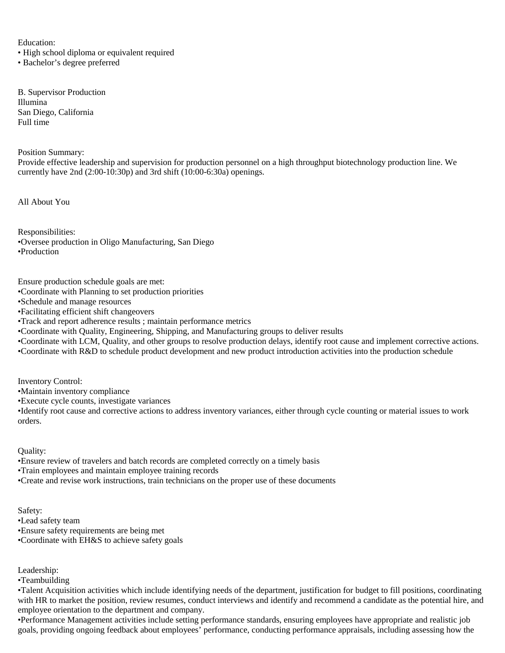Education:

- High school diploma or equivalent required
- Bachelor's degree preferred

B. Supervisor Production Illumina San Diego, California Full time

Position Summary:

Provide effective leadership and supervision for production personnel on a high throughput biotechnology production line. We currently have 2nd (2:00-10:30p) and 3rd shift (10:00-6:30a) openings.

All About You

Responsibilities:

- •Oversee production in Oligo Manufacturing, San Diego
- •Production

Ensure production schedule goals are met:

- •Coordinate with Planning to set production priorities
- •Schedule and manage resources
- •Facilitating efficient shift changeovers
- •Track and report adherence results ; maintain performance metrics
- •Coordinate with Quality, Engineering, Shipping, and Manufacturing groups to deliver results
- •Coordinate with LCM, Quality, and other groups to resolve production delays, identify root cause and implement corrective actions.
- •Coordinate with R&D to schedule product development and new product introduction activities into the production schedule

Inventory Control:

•Maintain inventory compliance

•Execute cycle counts, investigate variances

•Identify root cause and corrective actions to address inventory variances, either through cycle counting or material issues to work orders.

# Quality:

•Ensure review of travelers and batch records are completed correctly on a timely basis

- •Train employees and maintain employee training records
- •Create and revise work instructions, train technicians on the proper use of these documents

Safety:

- •Lead safety team
- •Ensure safety requirements are being met
- •Coordinate with EH&S to achieve safety goals

Leadership:

•Teambuilding

•Talent Acquisition activities which include identifying needs of the department, justification for budget to fill positions, coordinating with HR to market the position, review resumes, conduct interviews and identify and recommend a candidate as the potential hire, and employee orientation to the department and company.

•Performance Management activities include setting performance standards, ensuring employees have appropriate and realistic job goals, providing ongoing feedback about employees' performance, conducting performance appraisals, including assessing how the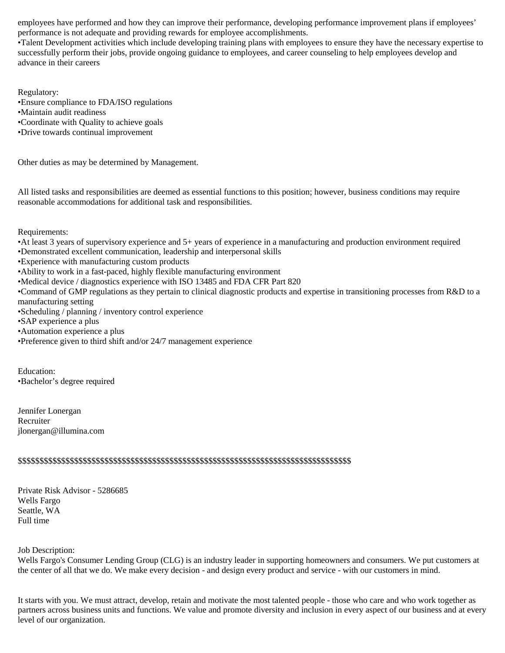employees have performed and how they can improve their performance, developing performance improvement plans if employees' performance is not adequate and providing rewards for employee accomplishments.

•Talent Development activities which include developing training plans with employees to ensure they have the necessary expertise to successfully perform their jobs, provide ongoing guidance to employees, and career counseling to help employees develop and advance in their careers

Regulatory:

- •Ensure compliance to FDA/ISO regulations
- •Maintain audit readiness
- •Coordinate with Quality to achieve goals
- •Drive towards continual improvement

Other duties as may be determined by Management.

All listed tasks and responsibilities are deemed as essential functions to this position; however, business conditions may require reasonable accommodations for additional task and responsibilities.

Requirements:

- •At least 3 years of supervisory experience and 5+ years of experience in a manufacturing and production environment required
- •Demonstrated excellent communication, leadership and interpersonal skills
- •Experience with manufacturing custom products
- •Ability to work in a fast-paced, highly flexible manufacturing environment
- •Medical device / diagnostics experience with ISO 13485 and FDA CFR Part 820
- •Command of GMP regulations as they pertain to clinical diagnostic products and expertise in transitioning processes from R&D to a manufacturing setting
- •Scheduling / planning / inventory control experience
- •SAP experience a plus
- •Automation experience a plus
- •Preference given to third shift and/or 24/7 management experience

Education: •Bachelor's degree required

Jennifer Lonergan Recruiter jlonergan@illumina.com

#### \$\$\$\$\$\$\$\$\$\$\$\$\$\$\$\$\$\$\$\$\$\$\$\$\$\$\$\$\$\$\$\$\$\$\$\$\$\$\$\$\$\$\$\$\$\$\$\$\$\$\$\$\$\$\$\$\$\$\$\$\$\$\$\$\$\$\$\$\$\$\$\$\$\$\$\$\$

Private Risk Advisor - 5286685 Wells Fargo Seattle, WA Full time

#### Job Description:

Wells Fargo's Consumer Lending Group (CLG) is an industry leader in supporting homeowners and consumers. We put customers at the center of all that we do. We make every decision - and design every product and service - with our customers in mind.

It starts with you. We must attract, develop, retain and motivate the most talented people - those who care and who work together as partners across business units and functions. We value and promote diversity and inclusion in every aspect of our business and at every level of our organization.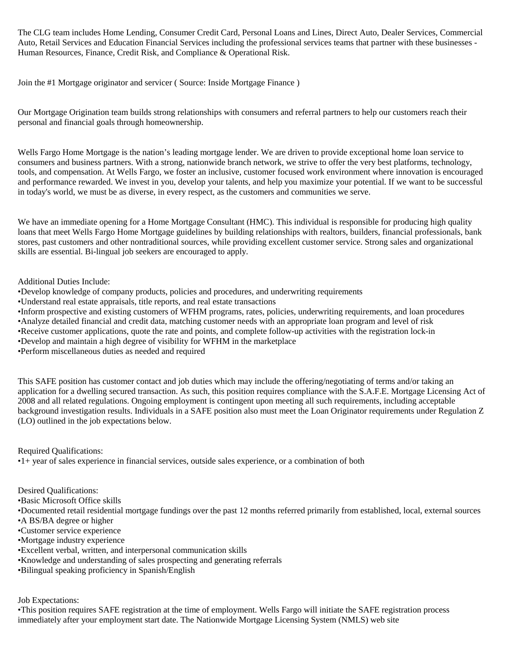The CLG team includes Home Lending, Consumer Credit Card, Personal Loans and Lines, Direct Auto, Dealer Services, Commercial Auto, Retail Services and Education Financial Services including the professional services teams that partner with these businesses - Human Resources, Finance, Credit Risk, and Compliance & Operational Risk.

Join the #1 Mortgage originator and servicer ( Source: Inside Mortgage Finance )

Our Mortgage Origination team builds strong relationships with consumers and referral partners to help our customers reach their personal and financial goals through homeownership.

Wells Fargo Home Mortgage is the nation's leading mortgage lender. We are driven to provide exceptional home loan service to consumers and business partners. With a strong, nationwide branch network, we strive to offer the very best platforms, technology, tools, and compensation. At Wells Fargo, we foster an inclusive, customer focused work environment where innovation is encouraged and performance rewarded. We invest in you, develop your talents, and help you maximize your potential. If we want to be successful in today's world, we must be as diverse, in every respect, as the customers and communities we serve.

We have an immediate opening for a Home Mortgage Consultant (HMC). This individual is responsible for producing high quality loans that meet Wells Fargo Home Mortgage guidelines by building relationships with realtors, builders, financial professionals, bank stores, past customers and other nontraditional sources, while providing excellent customer service. Strong sales and organizational skills are essential. Bi-lingual job seekers are encouraged to apply.

Additional Duties Include:

- •Develop knowledge of company products, policies and procedures, and underwriting requirements
- •Understand real estate appraisals, title reports, and real estate transactions
- •Inform prospective and existing customers of WFHM programs, rates, policies, underwriting requirements, and loan procedures
- •Analyze detailed financial and credit data, matching customer needs with an appropriate loan program and level of risk
- •Receive customer applications, quote the rate and points, and complete follow-up activities with the registration lock-in
- •Develop and maintain a high degree of visibility for WFHM in the marketplace
- •Perform miscellaneous duties as needed and required

This SAFE position has customer contact and job duties which may include the offering/negotiating of terms and/or taking an application for a dwelling secured transaction. As such, this position requires compliance with the S.A.F.E. Mortgage Licensing Act of 2008 and all related regulations. Ongoing employment is contingent upon meeting all such requirements, including acceptable background investigation results. Individuals in a SAFE position also must meet the Loan Originator requirements under Regulation Z (LO) outlined in the job expectations below.

Required Qualifications:

•1+ year of sales experience in financial services, outside sales experience, or a combination of both

Desired Qualifications:

•Basic Microsoft Office skills

•Documented retail residential mortgage fundings over the past 12 months referred primarily from established, local, external sources

- •A BS/BA degree or higher
- •Customer service experience
- •Mortgage industry experience
- •Excellent verbal, written, and interpersonal communication skills
- •Knowledge and understanding of sales prospecting and generating referrals
- •Bilingual speaking proficiency in Spanish/English

Job Expectations:

•This position requires SAFE registration at the time of employment. Wells Fargo will initiate the SAFE registration process immediately after your employment start date. The Nationwide Mortgage Licensing System (NMLS) web site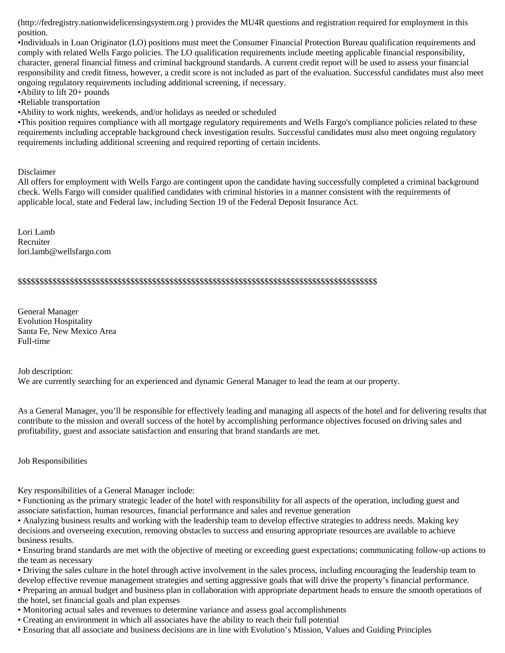(http://fedregistry.nationwidelicensingsystem.org ) provides the MU4R questions and registration required for employment in this position.

•Individuals in Loan Originator (LO) positions must meet the Consumer Financial Protection Bureau qualification requirements and comply with related Wells Fargo policies. The LO qualification requirements include meeting applicable financial responsibility, character, general financial fitness and criminal background standards. A current credit report will be used to assess your financial responsibility and credit fitness, however, a credit score is not included as part of the evaluation. Successful candidates must also meet ongoing regulatory requirements including additional screening, if necessary.

•Ability to lift 20+ pounds

•Reliable transportation

•Ability to work nights, weekends, and/or holidays as needed or scheduled

•This position requires compliance with all mortgage regulatory requirements and Wells Fargo's compliance policies related to these requirements including acceptable background check investigation results. Successful candidates must also meet ongoing regulatory requirements including additional screening and required reporting of certain incidents.

Disclaimer

All offers for employment with Wells Fargo are contingent upon the candidate having successfully completed a criminal background check. Wells Fargo will consider qualified candidates with criminal histories in a manner consistent with the requirements of applicable local, state and Federal law, including Section 19 of the Federal Deposit Insurance Act.

Lori Lamb Recruiter lori.lamb@wellsfargo.com

# \$\$\$\$\$\$\$\$\$\$\$\$\$\$\$\$\$\$\$\$\$\$\$\$\$\$\$\$\$\$\$\$\$\$\$\$\$\$\$\$\$\$\$\$\$\$\$\$\$\$\$\$\$\$\$\$\$\$\$\$\$\$\$\$\$\$\$\$\$\$\$\$\$\$\$\$\$\$\$\$\$\$\$

General Manager Evolution Hospitality Santa Fe, New Mexico Area Full-time

Job description:

We are currently searching for an experienced and dynamic General Manager to lead the team at our property.

As a General Manager, you'll be responsible for effectively leading and managing all aspects of the hotel and for delivering results that contribute to the mission and overall success of the hotel by accomplishing performance objectives focused on driving sales and profitability, guest and associate satisfaction and ensuring that brand standards are met.

Job Responsibilities

Key responsibilities of a General Manager include:

• Functioning as the primary strategic leader of the hotel with responsibility for all aspects of the operation, including guest and associate satisfaction, human resources, financial performance and sales and revenue generation

• Analyzing business results and working with the leadership team to develop effective strategies to address needs. Making key decisions and overseeing execution, removing obstacles to success and ensuring appropriate resources are available to achieve business results.

• Ensuring brand standards are met with the objective of meeting or exceeding guest expectations; communicating follow-up actions to the team as necessary

• Driving the sales culture in the hotel through active involvement in the sales process, including encouraging the leadership team to develop effective revenue management strategies and setting aggressive goals that will drive the property's financial performance.

• Preparing an annual budget and business plan in collaboration with appropriate department heads to ensure the smooth operations of the hotel, set financial goals and plan expenses

- Monitoring actual sales and revenues to determine variance and assess goal accomplishments
- Creating an environment in which all associates have the ability to reach their full potential
- Ensuring that all associate and business decisions are in line with Evolution's Mission, Values and Guiding Principles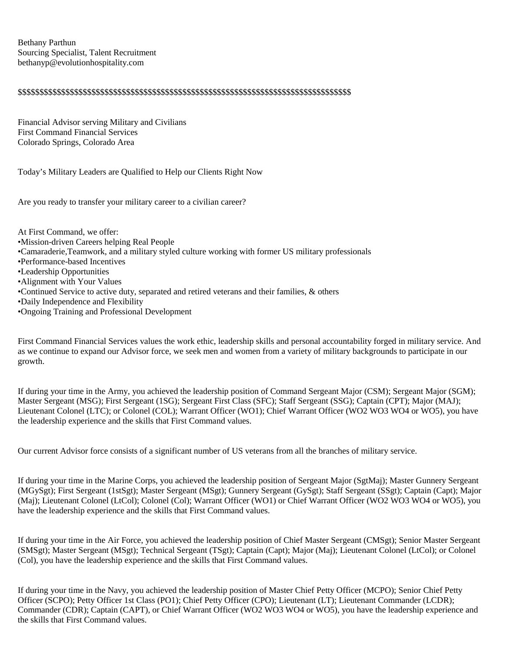Bethany Parthun Sourcing Specialist, Talent Recruitment bethanyp@evolutionhospitality.com

#### \$\$\$\$\$\$\$\$\$\$\$\$\$\$\$\$\$\$\$\$\$\$\$\$\$\$\$\$\$\$\$\$\$\$\$\$\$\$\$\$\$\$\$\$\$\$\$\$\$\$\$\$\$\$\$\$\$\$\$\$\$\$\$\$\$\$\$\$\$\$\$\$\$\$\$\$\$

Financial Advisor serving Military and Civilians First Command Financial Services Colorado Springs, Colorado Area

Today's Military Leaders are Qualified to Help our Clients Right Now

Are you ready to transfer your military career to a civilian career?

At First Command, we offer:

- •Mission-driven Careers helping Real People
- •Camaraderie,Teamwork, and a military styled culture working with former US military professionals
- •Performance-based Incentives
- •Leadership Opportunities
- •Alignment with Your Values
- •Continued Service to active duty, separated and retired veterans and their families, & others
- •Daily Independence and Flexibility
- •Ongoing Training and Professional Development

First Command Financial Services values the work ethic, leadership skills and personal accountability forged in military service. And as we continue to expand our Advisor force, we seek men and women from a variety of military backgrounds to participate in our growth.

If during your time in the Army, you achieved the leadership position of Command Sergeant Major (CSM); Sergeant Major (SGM); Master Sergeant (MSG); First Sergeant (1SG); Sergeant First Class (SFC); Staff Sergeant (SSG); Captain (CPT); Major (MAJ); Lieutenant Colonel (LTC); or Colonel (COL); Warrant Officer (WO1); Chief Warrant Officer (WO2 WO3 WO4 or WO5), you have the leadership experience and the skills that First Command values.

Our current Advisor force consists of a significant number of US veterans from all the branches of military service.

If during your time in the Marine Corps, you achieved the leadership position of Sergeant Major (SgtMaj); Master Gunnery Sergeant (MGySgt); First Sergeant (1stSgt); Master Sergeant (MSgt); Gunnery Sergeant (GySgt); Staff Sergeant (SSgt); Captain (Capt); Major (Maj); Lieutenant Colonel (LtCol); Colonel (Col); Warrant Officer (WO1) or Chief Warrant Officer (WO2 WO3 WO4 or WO5), you have the leadership experience and the skills that First Command values.

If during your time in the Air Force, you achieved the leadership position of Chief Master Sergeant (CMSgt); Senior Master Sergeant (SMSgt); Master Sergeant (MSgt); Technical Sergeant (TSgt); Captain (Capt); Major (Maj); Lieutenant Colonel (LtCol); or Colonel (Col), you have the leadership experience and the skills that First Command values.

If during your time in the Navy, you achieved the leadership position of Master Chief Petty Officer (MCPO); Senior Chief Petty Officer (SCPO); Petty Officer 1st Class (PO1); Chief Petty Officer (CPO); Lieutenant (LT); Lieutenant Commander (LCDR); Commander (CDR); Captain (CAPT), or Chief Warrant Officer (WO2 WO3 WO4 or WO5), you have the leadership experience and the skills that First Command values.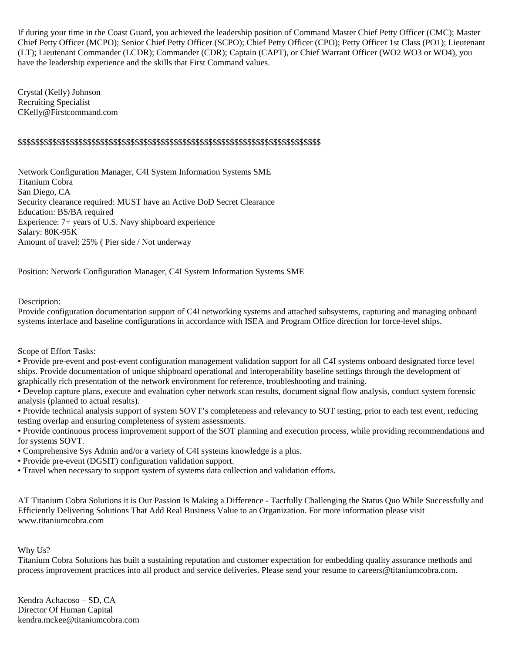If during your time in the Coast Guard, you achieved the leadership position of Command Master Chief Petty Officer (CMC); Master Chief Petty Officer (MCPO); Senior Chief Petty Officer (SCPO); Chief Petty Officer (CPO); Petty Officer 1st Class (PO1); Lieutenant (LT); Lieutenant Commander (LCDR); Commander (CDR); Captain (CAPT), or Chief Warrant Officer (WO2 WO3 or WO4), you have the leadership experience and the skills that First Command values.

Crystal (Kelly) Johnson Recruiting Specialist CKelly@Firstcommand.com

# \$\$\$\$\$\$\$\$\$\$\$\$\$\$\$\$\$\$\$\$\$\$\$\$\$\$\$\$\$\$\$\$\$\$\$\$\$\$\$\$\$\$\$\$\$\$\$\$\$\$\$\$\$\$\$\$\$\$\$\$\$\$\$\$\$\$\$\$\$\$

Network Configuration Manager, C4I System Information Systems SME Titanium Cobra San Diego, CA Security clearance required: MUST have an Active DoD Secret Clearance Education: BS/BA required Experience: 7+ years of U.S. Navy shipboard experience Salary: 80K-95K Amount of travel: 25% ( Pier side / Not underway

Position: Network Configuration Manager, C4I System Information Systems SME

Description:

Provide configuration documentation support of C4I networking systems and attached subsystems, capturing and managing onboard systems interface and baseline configurations in accordance with ISEA and Program Office direction for force-level ships.

Scope of Effort Tasks:

• Provide pre-event and post-event configuration management validation support for all C4I systems onboard designated force level ships. Provide documentation of unique shipboard operational and interoperability baseline settings through the development of graphically rich presentation of the network environment for reference, troubleshooting and training.

• Develop capture plans, execute and evaluation cyber network scan results, document signal flow analysis, conduct system forensic analysis (planned to actual results).

• Provide technical analysis support of system SOVT's completeness and relevancy to SOT testing, prior to each test event, reducing testing overlap and ensuring completeness of system assessments.

• Provide continuous process improvement support of the SOT planning and execution process, while providing recommendations and for systems SOVT.

- Comprehensive Sys Admin and/or a variety of C4I systems knowledge is a plus.
- Provide pre-event (DGSIT) configuration validation support.
- Travel when necessary to support system of systems data collection and validation efforts.

AT Titanium Cobra Solutions it is Our Passion Is Making a Difference - Tactfully Challenging the Status Quo While Successfully and Efficiently Delivering Solutions That Add Real Business Value to an Organization. For more information please visit www.titaniumcobra.com

Why Us?

Titanium Cobra Solutions has built a sustaining reputation and customer expectation for embedding quality assurance methods and process improvement practices into all product and service deliveries. Please send your resume to careers@titaniumcobra.com.

Kendra Achacoso – SD, CA Director Of Human Capital kendra.mckee@titaniumcobra.com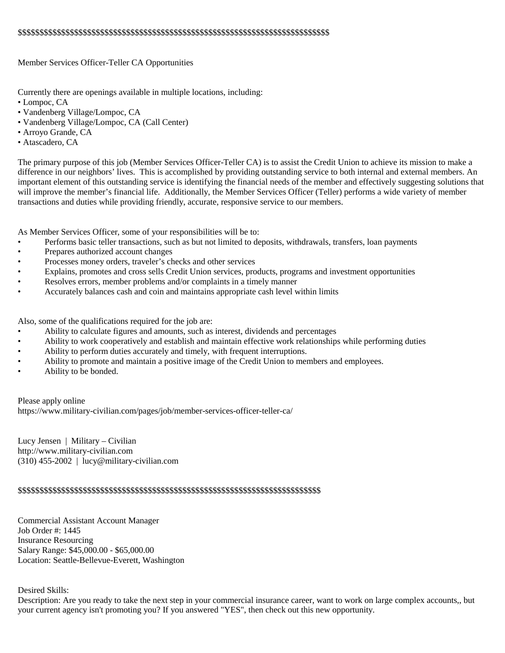#### \$\$\$\$\$\$\$\$\$\$\$\$\$\$\$\$\$\$\$\$\$\$\$\$\$\$\$\$\$\$\$\$\$\$\$\$\$\$\$\$\$\$\$\$\$\$\$\$\$\$\$\$\$\$\$\$\$\$\$\$\$\$\$\$\$\$\$\$\$\$\$\$

Member Services Officer-Teller CA Opportunities

Currently there are openings available in multiple locations, including:

- Lompoc, CA
- Vandenberg Village/Lompoc, CA
- Vandenberg Village/Lompoc, CA (Call Center)
- Arroyo Grande, CA
- Atascadero, CA

The primary purpose of this job (Member Services Officer-Teller CA) is to assist the Credit Union to achieve its mission to make a difference in our neighbors' lives. This is accomplished by providing outstanding service to both internal and external members. An important element of this outstanding service is identifying the financial needs of the member and effectively suggesting solutions that will improve the member's financial life. Additionally, the Member Services Officer (Teller) performs a wide variety of member transactions and duties while providing friendly, accurate, responsive service to our members.

As Member Services Officer, some of your responsibilities will be to:

- Performs basic teller transactions, such as but not limited to deposits, withdrawals, transfers, loan payments
- Prepares authorized account changes
- Processes money orders, traveler's checks and other services
- Explains, promotes and cross sells Credit Union services, products, programs and investment opportunities
- Resolves errors, member problems and/or complaints in a timely manner
- Accurately balances cash and coin and maintains appropriate cash level within limits

Also, some of the qualifications required for the job are:

- Ability to calculate figures and amounts, such as interest, dividends and percentages
- Ability to work cooperatively and establish and maintain effective work relationships while performing duties
- Ability to perform duties accurately and timely, with frequent interruptions.
- Ability to promote and maintain a positive image of the Credit Union to members and employees.
- Ability to be bonded.

Please apply online https://www.military-civilian.com/pages/job/member-services-officer-teller-ca/

Lucy Jensen | Military – Civilian http://www.military-civilian.com (310) 455-2002 | lucy@military-civilian.com

### \$\$\$\$\$\$\$\$\$\$\$\$\$\$\$\$\$\$\$\$\$\$\$\$\$\$\$\$\$\$\$\$\$\$\$\$\$\$\$\$\$\$\$\$\$\$\$\$\$\$\$\$\$\$\$\$\$\$\$\$\$\$\$\$\$\$\$\$\$\$

Commercial Assistant Account Manager Job Order #: 1445 Insurance Resourcing Salary Range: \$45,000.00 - \$65,000.00 Location: Seattle-Bellevue-Everett, Washington

Desired Skills:

Description: Are you ready to take the next step in your commercial insurance career, want to work on large complex accounts,, but your current agency isn't promoting you? If you answered "YES", then check out this new opportunity.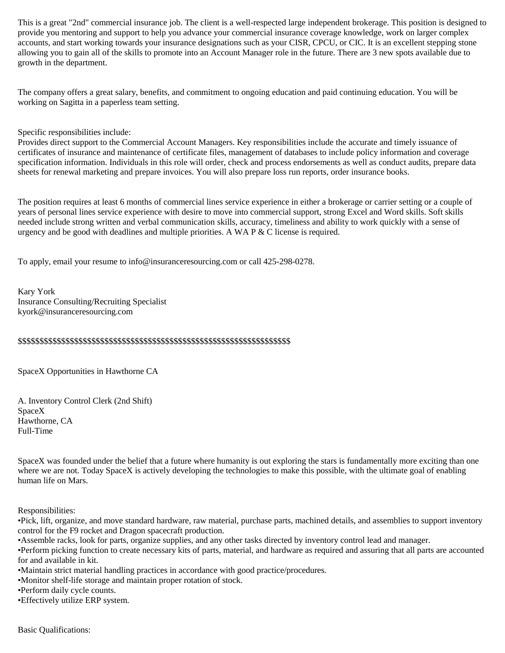This is a great "2nd" commercial insurance job. The client is a well-respected large independent brokerage. This position is designed to provide you mentoring and support to help you advance your commercial insurance coverage knowledge, work on larger complex accounts, and start working towards your insurance designations such as your CISR, CPCU, or CIC. It is an excellent stepping stone allowing you to gain all of the skills to promote into an Account Manager role in the future. There are 3 new spots available due to growth in the department.

The company offers a great salary, benefits, and commitment to ongoing education and paid continuing education. You will be working on Sagitta in a paperless team setting.

### Specific responsibilities include:

Provides direct support to the Commercial Account Managers. Key responsibilities include the accurate and timely issuance of certificates of insurance and maintenance of certificate files, management of databases to include policy information and coverage specification information. Individuals in this role will order, check and process endorsements as well as conduct audits, prepare data sheets for renewal marketing and prepare invoices. You will also prepare loss run reports, order insurance books.

The position requires at least 6 months of commercial lines service experience in either a brokerage or carrier setting or a couple of years of personal lines service experience with desire to move into commercial support, strong Excel and Word skills. Soft skills needed include strong written and verbal communication skills, accuracy, timeliness and ability to work quickly with a sense of urgency and be good with deadlines and multiple priorities. A WA P  $\&$  C license is required.

To apply, email your resume to info@insuranceresourcing.com or call 425-298-0278.

Kary York Insurance Consulting/Recruiting Specialist kyork@insuranceresourcing.com

#### \$\$\$\$\$\$\$\$\$\$\$\$\$\$\$\$\$\$\$\$\$\$\$\$\$\$\$\$\$\$\$\$\$\$\$\$\$\$\$\$\$\$\$\$\$\$\$\$\$\$\$\$\$\$\$\$\$\$\$\$\$\$\$

SpaceX Opportunities in Hawthorne CA

A. Inventory Control Clerk (2nd Shift) SpaceX Hawthorne, CA Full-Time

SpaceX was founded under the belief that a future where humanity is out exploring the stars is fundamentally more exciting than one where we are not. Today SpaceX is actively developing the technologies to make this possible, with the ultimate goal of enabling human life on Mars.

Responsibilities:

•Pick, lift, organize, and move standard hardware, raw material, purchase parts, machined details, and assemblies to support inventory control for the F9 rocket and Dragon spacecraft production.

•Assemble racks, look for parts, organize supplies, and any other tasks directed by inventory control lead and manager.

•Perform picking function to create necessary kits of parts, material, and hardware as required and assuring that all parts are accounted for and available in kit.

•Maintain strict material handling practices in accordance with good practice/procedures.

•Monitor shelf-life storage and maintain proper rotation of stock.

•Perform daily cycle counts.

•Effectively utilize ERP system.

Basic Qualifications: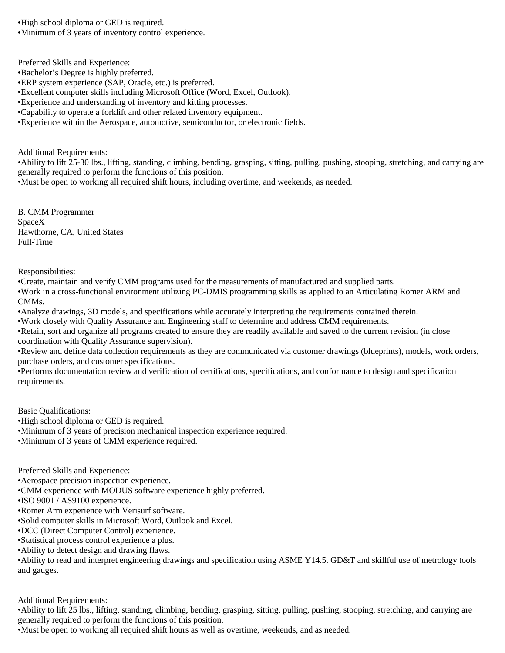•High school diploma or GED is required.

•Minimum of 3 years of inventory control experience.

Preferred Skills and Experience:

•Bachelor's Degree is highly preferred.

•ERP system experience (SAP, Oracle, etc.) is preferred.

•Excellent computer skills including Microsoft Office (Word, Excel, Outlook).

•Experience and understanding of inventory and kitting processes.

•Capability to operate a forklift and other related inventory equipment.

•Experience within the Aerospace, automotive, semiconductor, or electronic fields.

Additional Requirements:

•Ability to lift 25-30 lbs., lifting, standing, climbing, bending, grasping, sitting, pulling, pushing, stooping, stretching, and carrying are generally required to perform the functions of this position.

•Must be open to working all required shift hours, including overtime, and weekends, as needed.

B. CMM Programmer SpaceX Hawthorne, CA, United States Full-Time

Responsibilities:

•Create, maintain and verify CMM programs used for the measurements of manufactured and supplied parts.

•Work in a cross-functional environment utilizing PC-DMIS programming skills as applied to an Articulating Romer ARM and CMMs.

•Analyze drawings, 3D models, and specifications while accurately interpreting the requirements contained therein.

•Work closely with Quality Assurance and Engineering staff to determine and address CMM requirements.

•Retain, sort and organize all programs created to ensure they are readily available and saved to the current revision (in close coordination with Quality Assurance supervision).

•Review and define data collection requirements as they are communicated via customer drawings (blueprints), models, work orders, purchase orders, and customer specifications.

•Performs documentation review and verification of certifications, specifications, and conformance to design and specification requirements.

Basic Qualifications:

•High school diploma or GED is required.

•Minimum of 3 years of precision mechanical inspection experience required.

•Minimum of 3 years of CMM experience required.

Preferred Skills and Experience:

•Aerospace precision inspection experience.

•CMM experience with MODUS software experience highly preferred.

•ISO 9001 / AS9100 experience.

•Romer Arm experience with Verisurf software.

•Solid computer skills in Microsoft Word, Outlook and Excel.

•DCC (Direct Computer Control) experience.

•Statistical process control experience a plus.

•Ability to detect design and drawing flaws.

•Ability to read and interpret engineering drawings and specification using ASME Y14.5. GD&T and skillful use of metrology tools and gauges.

Additional Requirements:

•Ability to lift 25 lbs., lifting, standing, climbing, bending, grasping, sitting, pulling, pushing, stooping, stretching, and carrying are generally required to perform the functions of this position.

•Must be open to working all required shift hours as well as overtime, weekends, and as needed.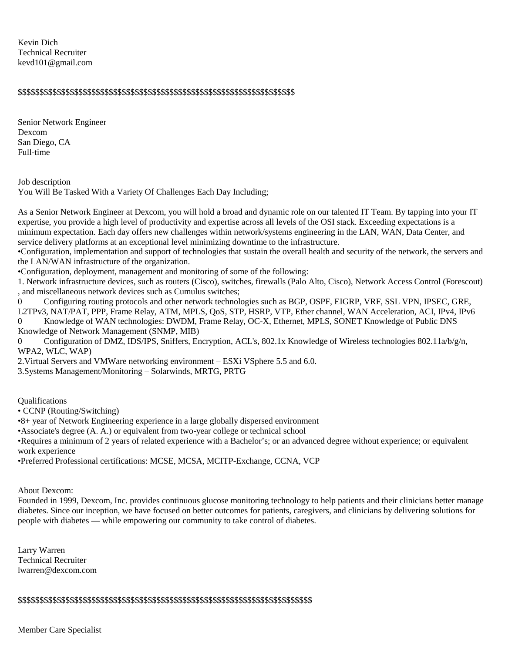Kevin Dich Technical Recruiter kevd101@gmail.com

#### \$\$\$\$\$\$\$\$\$\$\$\$\$\$\$\$\$\$\$\$\$\$\$\$\$\$\$\$\$\$\$\$\$\$\$\$\$\$\$\$\$\$\$\$\$\$\$\$\$\$\$\$\$\$\$\$\$\$\$\$\$\$\$\$

Senior Network Engineer Dexcom San Diego, CA Full-time

Job description

You Will Be Tasked With a Variety Of Challenges Each Day Including;

As a Senior Network Engineer at Dexcom, you will hold a broad and dynamic role on our talented IT Team. By tapping into your IT expertise, you provide a high level of productivity and expertise across all levels of the OSI stack. Exceeding expectations is a minimum expectation. Each day offers new challenges within network/systems engineering in the LAN, WAN, Data Center, and service delivery platforms at an exceptional level minimizing downtime to the infrastructure.

•Configuration, implementation and support of technologies that sustain the overall health and security of the network, the servers and the LAN/WAN infrastructure of the organization.

•Configuration, deployment, management and monitoring of some of the following:

1. Network infrastructure devices, such as routers (Cisco), switches, firewalls (Palo Alto, Cisco), Network Access Control (Forescout) , and miscellaneous network devices such as Cumulus switches;

0 Configuring routing protocols and other network technologies such as BGP, OSPF, EIGRP, VRF, SSL VPN, IPSEC, GRE, L2TPv3, NAT/PAT, PPP, Frame Relay, ATM, MPLS, QoS, STP, HSRP, VTP, Ether channel, WAN Acceleration, ACI, IPv4, IPv6 Knowledge of WAN technologies: DWDM, Frame Relay, OC-X, Ethernet, MPLS, SONET Knowledge of Public DNS

Knowledge of Network Management (SNMP, MIB)

0 Configuration of DMZ, IDS/IPS, Sniffers, Encryption, ACL's, 802.1x Knowledge of Wireless technologies 802.11a/b/g/n, WPA2, WLC, WAP)

2.Virtual Servers and VMWare networking environment – ESXi VSphere 5.5 and 6.0.

3.Systems Management/Monitoring – Solarwinds, MRTG, PRTG

**Oualifications** 

• CCNP (Routing/Switching)

•8+ year of Network Engineering experience in a large globally dispersed environment

•Associate's degree (A. A.) or equivalent from two-year college or technical school

•Requires a minimum of 2 years of related experience with a Bachelor's; or an advanced degree without experience; or equivalent work experience

•Preferred Professional certifications: MCSE, MCSA, MCITP-Exchange, CCNA, VCP

About Dexcom:

Founded in 1999, Dexcom, Inc. provides continuous glucose monitoring technology to help patients and their clinicians better manage diabetes. Since our inception, we have focused on better outcomes for patients, caregivers, and clinicians by delivering solutions for people with diabetes — while empowering our community to take control of diabetes.

Larry Warren Technical Recruiter lwarren@dexcom.com

\$\$\$\$\$\$\$\$\$\$\$\$\$\$\$\$\$\$\$\$\$\$\$\$\$\$\$\$\$\$\$\$\$\$\$\$\$\$\$\$\$\$\$\$\$\$\$\$\$\$\$\$\$\$\$\$\$\$\$\$\$\$\$\$\$\$\$\$

Member Care Specialist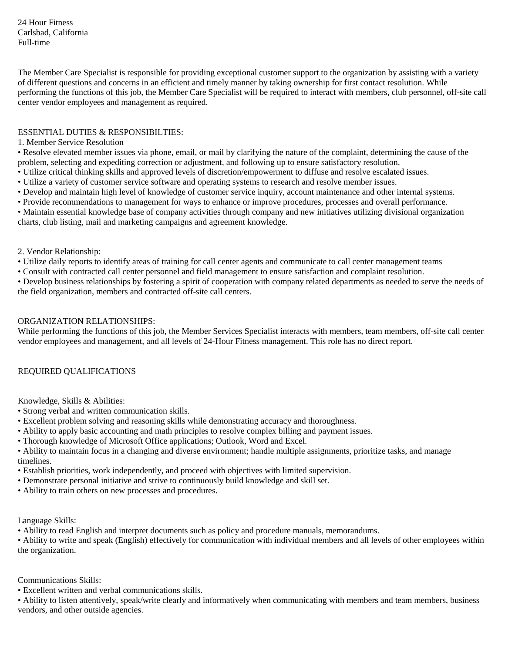24 Hour Fitness Carlsbad, California Full-time

The Member Care Specialist is responsible for providing exceptional customer support to the organization by assisting with a variety of different questions and concerns in an efficient and timely manner by taking ownership for first contact resolution. While performing the functions of this job, the Member Care Specialist will be required to interact with members, club personnel, off-site call center vendor employees and management as required.

# ESSENTIAL DUTIES & RESPONSIBILTIES:

### 1. Member Service Resolution

• Resolve elevated member issues via phone, email, or mail by clarifying the nature of the complaint, determining the cause of the problem, selecting and expediting correction or adjustment, and following up to ensure satisfactory resolution.

- Utilize critical thinking skills and approved levels of discretion/empowerment to diffuse and resolve escalated issues.
- Utilize a variety of customer service software and operating systems to research and resolve member issues.
- Develop and maintain high level of knowledge of customer service inquiry, account maintenance and other internal systems.
- Provide recommendations to management for ways to enhance or improve procedures, processes and overall performance.
- Maintain essential knowledge base of company activities through company and new initiatives utilizing divisional organization charts, club listing, mail and marketing campaigns and agreement knowledge.
- 2. Vendor Relationship:
- Utilize daily reports to identify areas of training for call center agents and communicate to call center management teams
- Consult with contracted call center personnel and field management to ensure satisfaction and complaint resolution.

• Develop business relationships by fostering a spirit of cooperation with company related departments as needed to serve the needs of the field organization, members and contracted off-site call centers.

# ORGANIZATION RELATIONSHIPS:

While performing the functions of this job, the Member Services Specialist interacts with members, team members, off-site call center vendor employees and management, and all levels of 24-Hour Fitness management. This role has no direct report.

#### REQUIRED QUALIFICATIONS

Knowledge, Skills & Abilities:

- Strong verbal and written communication skills.
- Excellent problem solving and reasoning skills while demonstrating accuracy and thoroughness.
- Ability to apply basic accounting and math principles to resolve complex billing and payment issues.
- Thorough knowledge of Microsoft Office applications; Outlook, Word and Excel.
- Ability to maintain focus in a changing and diverse environment; handle multiple assignments, prioritize tasks, and manage timelines.
- Establish priorities, work independently, and proceed with objectives with limited supervision.
- Demonstrate personal initiative and strive to continuously build knowledge and skill set.
- Ability to train others on new processes and procedures.

#### Language Skills:

• Ability to read English and interpret documents such as policy and procedure manuals, memorandums.

• Ability to write and speak (English) effectively for communication with individual members and all levels of other employees within the organization.

# Communications Skills:

• Excellent written and verbal communications skills.

• Ability to listen attentively, speak/write clearly and informatively when communicating with members and team members, business vendors, and other outside agencies.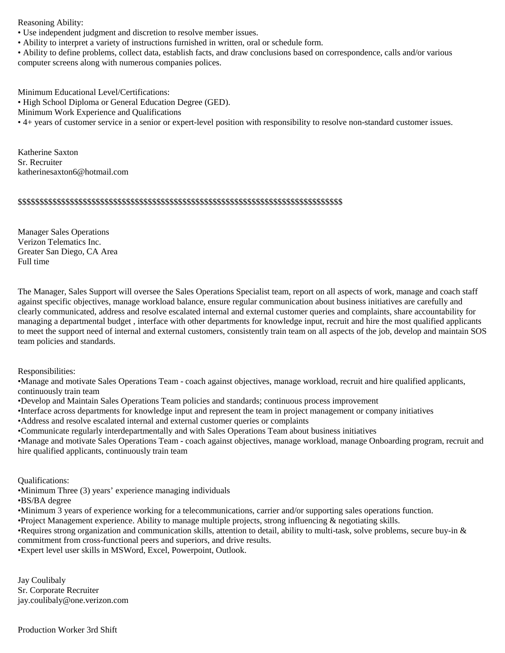Reasoning Ability:

- Use independent judgment and discretion to resolve member issues.
- Ability to interpret a variety of instructions furnished in written, oral or schedule form.

• Ability to define problems, collect data, establish facts, and draw conclusions based on correspondence, calls and/or various computer screens along with numerous companies polices.

Minimum Educational Level/Certifications:

• High School Diploma or General Education Degree (GED).

Minimum Work Experience and Qualifications

• 4+ years of customer service in a senior or expert-level position with responsibility to resolve non-standard customer issues.

Katherine Saxton Sr. Recruiter katherinesaxton6@hotmail.com

# \$\$\$\$\$\$\$\$\$\$\$\$\$\$\$\$\$\$\$\$\$\$\$\$\$\$\$\$\$\$\$\$\$\$\$\$\$\$\$\$\$\$\$\$\$\$\$\$\$\$\$\$\$\$\$\$\$\$\$\$\$\$\$\$\$\$\$\$\$\$\$\$\$\$\$

Manager Sales Operations Verizon Telematics Inc. Greater San Diego, CA Area Full time

The Manager, Sales Support will oversee the Sales Operations Specialist team, report on all aspects of work, manage and coach staff against specific objectives, manage workload balance, ensure regular communication about business initiatives are carefully and clearly communicated, address and resolve escalated internal and external customer queries and complaints, share accountability for managing a departmental budget , interface with other departments for knowledge input, recruit and hire the most qualified applicants to meet the support need of internal and external customers, consistently train team on all aspects of the job, develop and maintain SOS team policies and standards.

Responsibilities:

•Manage and motivate Sales Operations Team - coach against objectives, manage workload, recruit and hire qualified applicants, continuously train team

•Develop and Maintain Sales Operations Team policies and standards; continuous process improvement

•Interface across departments for knowledge input and represent the team in project management or company initiatives

•Address and resolve escalated internal and external customer queries or complaints

•Communicate regularly interdepartmentally and with Sales Operations Team about business initiatives

•Manage and motivate Sales Operations Team - coach against objectives, manage workload, manage Onboarding program, recruit and hire qualified applicants, continuously train team

Qualifications:

•Minimum Three (3) years' experience managing individuals

•BS/BA degree

•Minimum 3 years of experience working for a telecommunications, carrier and/or supporting sales operations function.

•Project Management experience. Ability to manage multiple projects, strong influencing & negotiating skills.

•Requires strong organization and communication skills, attention to detail, ability to multi-task, solve problems, secure buy-in & commitment from cross-functional peers and superiors, and drive results.

•Expert level user skills in MSWord, Excel, Powerpoint, Outlook.

Jay Coulibaly Sr. Corporate Recruiter jay.coulibaly@one.verizon.com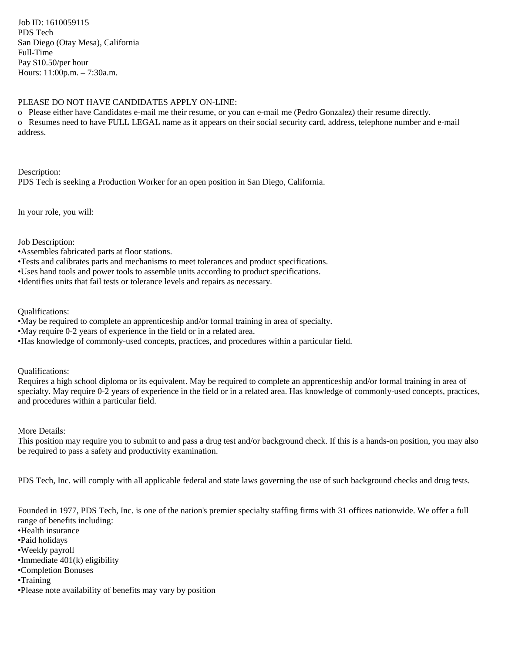Job ID: 1610059115 PDS Tech San Diego (Otay Mesa), California Full-Time Pay \$10.50/per hour Hours: 11:00p.m. – 7:30a.m.

# PLEASE DO NOT HAVE CANDIDATES APPLY ON-LINE:

o Please either have Candidates e-mail me their resume, or you can e-mail me (Pedro Gonzalez) their resume directly. o Resumes need to have FULL LEGAL name as it appears on their social security card, address, telephone number and e-mail address.

Description:

PDS Tech is seeking a Production Worker for an open position in San Diego, California.

In your role, you will:

Job Description:

- •Assembles fabricated parts at floor stations.
- •Tests and calibrates parts and mechanisms to meet tolerances and product specifications.
- •Uses hand tools and power tools to assemble units according to product specifications.
- •Identifies units that fail tests or tolerance levels and repairs as necessary.

Qualifications:

- •May be required to complete an apprenticeship and/or formal training in area of specialty.
- •May require 0-2 years of experience in the field or in a related area.
- •Has knowledge of commonly-used concepts, practices, and procedures within a particular field.

Qualifications:

Requires a high school diploma or its equivalent. May be required to complete an apprenticeship and/or formal training in area of specialty. May require 0-2 years of experience in the field or in a related area. Has knowledge of commonly-used concepts, practices, and procedures within a particular field.

More Details:

This position may require you to submit to and pass a drug test and/or background check. If this is a hands-on position, you may also be required to pass a safety and productivity examination.

PDS Tech, Inc. will comply with all applicable federal and state laws governing the use of such background checks and drug tests.

Founded in 1977, PDS Tech, Inc. is one of the nation's premier specialty staffing firms with 31 offices nationwide. We offer a full range of benefits including:

- •Health insurance
- •Paid holidays
- •Weekly payroll
- •Immediate 401(k) eligibility
- •Completion Bonuses
- •Training
- •Please note availability of benefits may vary by position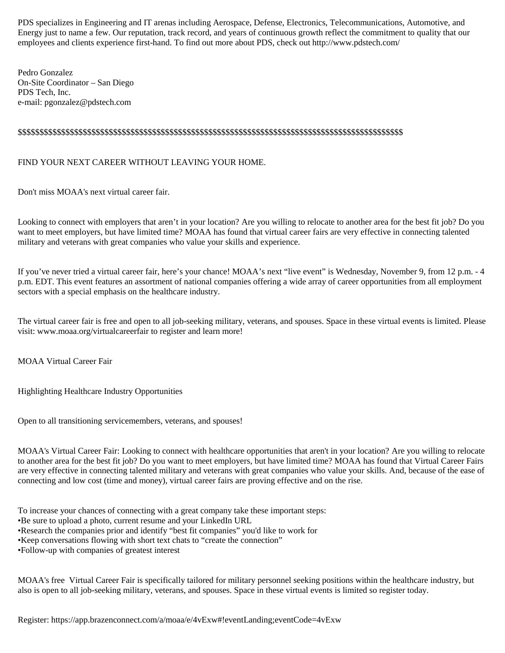PDS specializes in Engineering and IT arenas including Aerospace, Defense, Electronics, Telecommunications, Automotive, and Energy just to name a few. Our reputation, track record, and years of continuous growth reflect the commitment to quality that our employees and clients experience first-hand. To find out more about PDS, check out http://www.pdstech.com/

Pedro Gonzalez On-Site Coordinator – San Diego PDS Tech, Inc. e-mail: pgonzalez@pdstech.com

# \$\$\$\$\$\$\$\$\$\$\$\$\$\$\$\$\$\$\$\$\$\$\$\$\$\$\$\$\$\$\$\$\$\$\$\$\$\$\$\$\$\$\$\$\$\$\$\$\$\$\$\$\$\$\$\$\$\$\$\$\$\$\$\$\$\$\$\$\$\$\$\$\$\$\$\$\$\$\$\$\$\$\$\$\$\$\$\$\$

# FIND YOUR NEXT CAREER WITHOUT LEAVING YOUR HOME.

Don't miss MOAA's next virtual career fair.

Looking to connect with employers that aren't in your location? Are you willing to relocate to another area for the best fit job? Do you want to meet employers, but have limited time? MOAA has found that virtual career fairs are very effective in connecting talented military and veterans with great companies who value your skills and experience.

If you've never tried a virtual career fair, here's your chance! MOAA's next "live event" is Wednesday, November 9, from 12 p.m. - 4 p.m. EDT. This event features an assortment of national companies offering a wide array of career opportunities from all employment sectors with a special emphasis on the healthcare industry.

The virtual career fair is free and open to all job-seeking military, veterans, and spouses. Space in these virtual events is limited. Please visit: www.moaa.org/virtualcareerfair to register and learn more!

MOAA Virtual Career Fair

Highlighting Healthcare Industry Opportunities

Open to all transitioning servicemembers, veterans, and spouses!

MOAA's Virtual Career Fair: Looking to connect with healthcare opportunities that aren't in your location? Are you willing to relocate to another area for the best fit job? Do you want to meet employers, but have limited time? MOAA has found that Virtual Career Fairs are very effective in connecting talented military and veterans with great companies who value your skills. And, because of the ease of connecting and low cost (time and money), virtual career fairs are proving effective and on the rise.

To increase your chances of connecting with a great company take these important steps:

•Be sure to upload a photo, current resume and your LinkedIn URL

•Research the companies prior and identify "best fit companies" you'd like to work for

•Keep conversations flowing with short text chats to "create the connection"

•Follow-up with companies of greatest interest

MOAA's free Virtual Career Fair is specifically tailored for military personnel seeking positions within the healthcare industry, but also is open to all job-seeking military, veterans, and spouses. Space in these virtual events is limited so register today.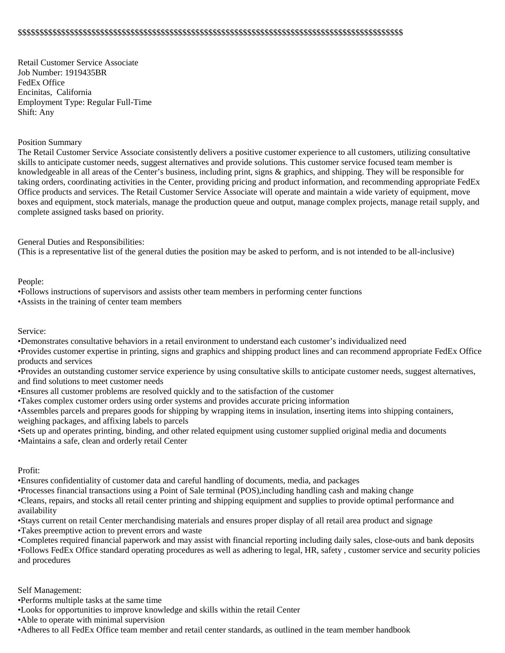#### \$\$\$\$\$\$\$\$\$\$\$\$\$\$\$\$\$\$\$\$\$\$\$\$\$\$\$\$\$\$\$\$\$\$\$\$\$\$\$\$\$\$\$\$\$\$\$\$\$\$\$\$\$\$\$\$\$\$\$\$\$\$\$\$\$\$\$\$\$\$\$\$\$\$\$\$\$\$\$\$\$\$\$\$\$\$\$\$\$

Retail Customer Service Associate Job Number: 1919435BR FedEx Office Encinitas, California Employment Type: Regular Full-Time Shift: Any

# Position Summary

The Retail Customer Service Associate consistently delivers a positive customer experience to all customers, utilizing consultative skills to anticipate customer needs, suggest alternatives and provide solutions. This customer service focused team member is knowledgeable in all areas of the Center's business, including print, signs & graphics, and shipping. They will be responsible for taking orders, coordinating activities in the Center, providing pricing and product information, and recommending appropriate FedEx Office products and services. The Retail Customer Service Associate will operate and maintain a wide variety of equipment, move boxes and equipment, stock materials, manage the production queue and output, manage complex projects, manage retail supply, and complete assigned tasks based on priority.

General Duties and Responsibilities:

(This is a representative list of the general duties the position may be asked to perform, and is not intended to be all-inclusive)

People:

- •Follows instructions of supervisors and assists other team members in performing center functions
- •Assists in the training of center team members

Service:

- •Demonstrates consultative behaviors in a retail environment to understand each customer's individualized need
- •Provides customer expertise in printing, signs and graphics and shipping product lines and can recommend appropriate FedEx Office products and services
- •Provides an outstanding customer service experience by using consultative skills to anticipate customer needs, suggest alternatives, and find solutions to meet customer needs
- •Ensures all customer problems are resolved quickly and to the satisfaction of the customer
- •Takes complex customer orders using order systems and provides accurate pricing information
- •Assembles parcels and prepares goods for shipping by wrapping items in insulation, inserting items into shipping containers, weighing packages, and affixing labels to parcels
- •Sets up and operates printing, binding, and other related equipment using customer supplied original media and documents
- •Maintains a safe, clean and orderly retail Center

#### Profit:

- •Ensures confidentiality of customer data and careful handling of documents, media, and packages
- •Processes financial transactions using a Point of Sale terminal (POS),including handling cash and making change
- •Cleans, repairs, and stocks all retail center printing and shipping equipment and supplies to provide optimal performance and availability
- •Stays current on retail Center merchandising materials and ensures proper display of all retail area product and signage
- •Takes preemptive action to prevent errors and waste
- •Completes required financial paperwork and may assist with financial reporting including daily sales, close-outs and bank deposits •Follows FedEx Office standard operating procedures as well as adhering to legal, HR, safety , customer service and security policies and procedures

Self Management:

- •Performs multiple tasks at the same time
- •Looks for opportunities to improve knowledge and skills within the retail Center
- •Able to operate with minimal supervision
- •Adheres to all FedEx Office team member and retail center standards, as outlined in the team member handbook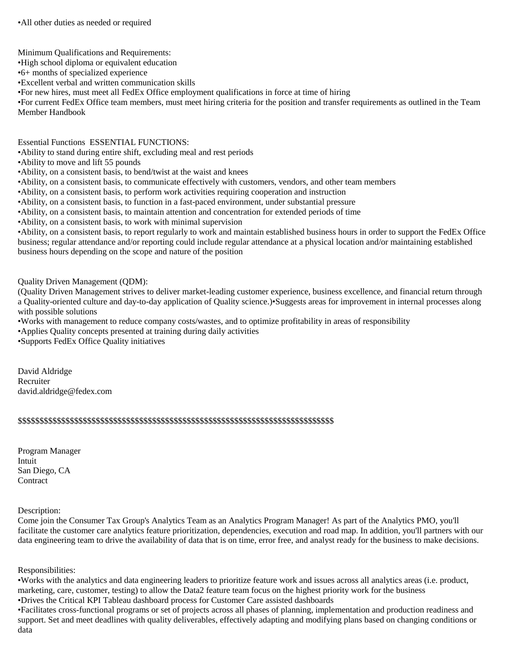•All other duties as needed or required

Minimum Qualifications and Requirements:

•High school diploma or equivalent education

•6+ months of specialized experience

•Excellent verbal and written communication skills

•For new hires, must meet all FedEx Office employment qualifications in force at time of hiring

•For current FedEx Office team members, must meet hiring criteria for the position and transfer requirements as outlined in the Team Member Handbook

Essential Functions ESSENTIAL FUNCTIONS:

•Ability to stand during entire shift, excluding meal and rest periods

•Ability to move and lift 55 pounds

•Ability, on a consistent basis, to bend/twist at the waist and knees

•Ability, on a consistent basis, to communicate effectively with customers, vendors, and other team members

•Ability, on a consistent basis, to perform work activities requiring cooperation and instruction

•Ability, on a consistent basis, to function in a fast-paced environment, under substantial pressure

•Ability, on a consistent basis, to maintain attention and concentration for extended periods of time

•Ability, on a consistent basis, to work with minimal supervision

•Ability, on a consistent basis, to report regularly to work and maintain established business hours in order to support the FedEx Office business; regular attendance and/or reporting could include regular attendance at a physical location and/or maintaining established business hours depending on the scope and nature of the position

Quality Driven Management (QDM):

(Quality Driven Management strives to deliver market-leading customer experience, business excellence, and financial return through a Quality-oriented culture and day-to-day application of Quality science.)•Suggests areas for improvement in internal processes along with possible solutions

•Works with management to reduce company costs/wastes, and to optimize profitability in areas of responsibility

•Applies Quality concepts presented at training during daily activities

•Supports FedEx Office Quality initiatives

David Aldridge Recruiter david.aldridge@fedex.com

#### \$\$\$\$\$\$\$\$\$\$\$\$\$\$\$\$\$\$\$\$\$\$\$\$\$\$\$\$\$\$\$\$\$\$\$\$\$\$\$\$\$\$\$\$\$\$\$\$\$\$\$\$\$\$\$\$\$\$\$\$\$\$\$\$\$\$\$\$\$\$\$\$\$

Program Manager Intuit San Diego, CA **Contract** 

Description:

Come join the Consumer Tax Group's Analytics Team as an Analytics Program Manager! As part of the Analytics PMO, you'll facilitate the customer care analytics feature prioritization, dependencies, execution and road map. In addition, you'll partners with our data engineering team to drive the availability of data that is on time, error free, and analyst ready for the business to make decisions.

Responsibilities:

•Works with the analytics and data engineering leaders to prioritize feature work and issues across all analytics areas (i.e. product, marketing, care, customer, testing) to allow the Data2 feature team focus on the highest priority work for the business

•Drives the Critical KPI Tableau dashboard process for Customer Care assisted dashboards

•Facilitates cross-functional programs or set of projects across all phases of planning, implementation and production readiness and support. Set and meet deadlines with quality deliverables, effectively adapting and modifying plans based on changing conditions or data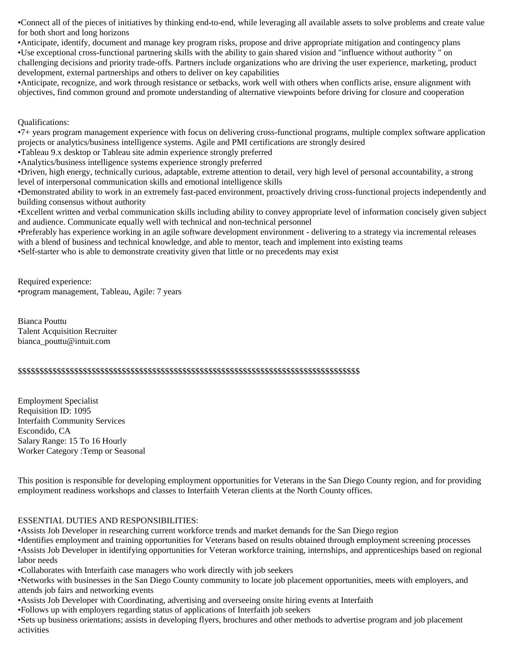•Connect all of the pieces of initiatives by thinking end-to-end, while leveraging all available assets to solve problems and create value for both short and long horizons

•Anticipate, identify, document and manage key program risks, propose and drive appropriate mitigation and contingency plans •Use exceptional cross-functional partnering skills with the ability to gain shared vision and "influence without authority " on challenging decisions and priority trade-offs. Partners include organizations who are driving the user experience, marketing, product

development, external partnerships and others to deliver on key capabilities •Anticipate, recognize, and work through resistance or setbacks, work well with others when conflicts arise, ensure alignment with objectives, find common ground and promote understanding of alternative viewpoints before driving for closure and cooperation

# Qualifications:

•7+ years program management experience with focus on delivering cross-functional programs, multiple complex software application projects or analytics/business intelligence systems. Agile and PMI certifications are strongly desired

•Tableau 9.x desktop or Tableau site admin experience strongly preferred

•Analytics/business intelligence systems experience strongly preferred

•Driven, high energy, technically curious, adaptable, extreme attention to detail, very high level of personal accountability, a strong level of interpersonal communication skills and emotional intelligence skills

•Demonstrated ability to work in an extremely fast-paced environment, proactively driving cross-functional projects independently and building consensus without authority

•Excellent written and verbal communication skills including ability to convey appropriate level of information concisely given subject and audience. Communicate equally well with technical and non-technical personnel

•Preferably has experience working in an agile software development environment - delivering to a strategy via incremental releases with a blend of business and technical knowledge, and able to mentor, teach and implement into existing teams

•Self-starter who is able to demonstrate creativity given that little or no precedents may exist

Required experience: •program management, Tableau, Agile: 7 years

Bianca Pouttu Talent Acquisition Recruiter bianca\_pouttu@intuit.com

# \$\$\$\$\$\$\$\$\$\$\$\$\$\$\$\$\$\$\$\$\$\$\$\$\$\$\$\$\$\$\$\$\$\$\$\$\$\$\$\$\$\$\$\$\$\$\$\$\$\$\$\$\$\$\$\$\$\$\$\$\$\$\$\$\$\$\$\$\$\$\$\$\$\$\$\$\$\$\$

Employment Specialist Requisition ID: 1095 Interfaith Community Services Escondido, CA Salary Range: 15 To 16 Hourly Worker Category :Temp or Seasonal

This position is responsible for developing employment opportunities for Veterans in the San Diego County region, and for providing employment readiness workshops and classes to Interfaith Veteran clients at the North County offices.

#### ESSENTIAL DUTIES AND RESPONSIBILITIES:

•Assists Job Developer in researching current workforce trends and market demands for the San Diego region

•Identifies employment and training opportunities for Veterans based on results obtained through employment screening processes •Assists Job Developer in identifying opportunities for Veteran workforce training, internships, and apprenticeships based on regional labor needs

•Collaborates with Interfaith case managers who work directly with job seekers

•Networks with businesses in the San Diego County community to locate job placement opportunities, meets with employers, and attends job fairs and networking events

•Assists Job Developer with Coordinating, advertising and overseeing onsite hiring events at Interfaith

•Follows up with employers regarding status of applications of Interfaith job seekers

•Sets up business orientations; assists in developing flyers, brochures and other methods to advertise program and job placement activities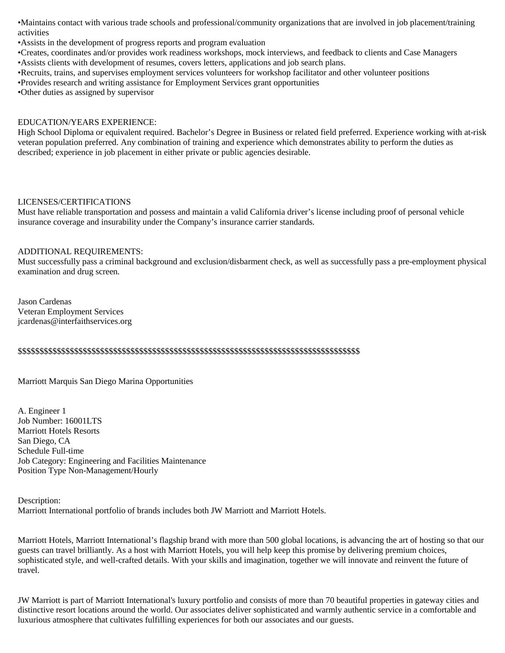•Maintains contact with various trade schools and professional/community organizations that are involved in job placement/training activities

•Assists in the development of progress reports and program evaluation

•Creates, coordinates and/or provides work readiness workshops, mock interviews, and feedback to clients and Case Managers

•Assists clients with development of resumes, covers letters, applications and job search plans.

•Recruits, trains, and supervises employment services volunteers for workshop facilitator and other volunteer positions

•Provides research and writing assistance for Employment Services grant opportunities

•Other duties as assigned by supervisor

# EDUCATION/YEARS EXPERIENCE:

High School Diploma or equivalent required. Bachelor's Degree in Business or related field preferred. Experience working with at-risk veteran population preferred. Any combination of training and experience which demonstrates ability to perform the duties as described; experience in job placement in either private or public agencies desirable.

# LICENSES/CERTIFICATIONS

Must have reliable transportation and possess and maintain a valid California driver's license including proof of personal vehicle insurance coverage and insurability under the Company's insurance carrier standards.

# ADDITIONAL REQUIREMENTS:

Must successfully pass a criminal background and exclusion/disbarment check, as well as successfully pass a pre-employment physical examination and drug screen.

Jason Cardenas Veteran Employment Services jcardenas@interfaithservices.org

# \$\$\$\$\$\$\$\$\$\$\$\$\$\$\$\$\$\$\$\$\$\$\$\$\$\$\$\$\$\$\$\$\$\$\$\$\$\$\$\$\$\$\$\$\$\$\$\$\$\$\$\$\$\$\$\$\$\$\$\$\$\$\$\$\$\$\$\$\$\$\$\$\$\$\$\$\$\$\$

Marriott Marquis San Diego Marina Opportunities

A. Engineer 1 Job Number: 16001LTS Marriott Hotels Resorts San Diego, CA Schedule Full-time Job Category: Engineering and Facilities Maintenance Position Type Non-Management/Hourly

Description: Marriott International portfolio of brands includes both JW Marriott and Marriott Hotels.

Marriott Hotels, Marriott International's flagship brand with more than 500 global locations, is advancing the art of hosting so that our guests can travel brilliantly. As a host with Marriott Hotels, you will help keep this promise by delivering premium choices, sophisticated style, and well-crafted details. With your skills and imagination, together we will innovate and reinvent the future of travel.

JW Marriott is part of Marriott International's luxury portfolio and consists of more than 70 beautiful properties in gateway cities and distinctive resort locations around the world. Our associates deliver sophisticated and warmly authentic service in a comfortable and luxurious atmosphere that cultivates fulfilling experiences for both our associates and our guests.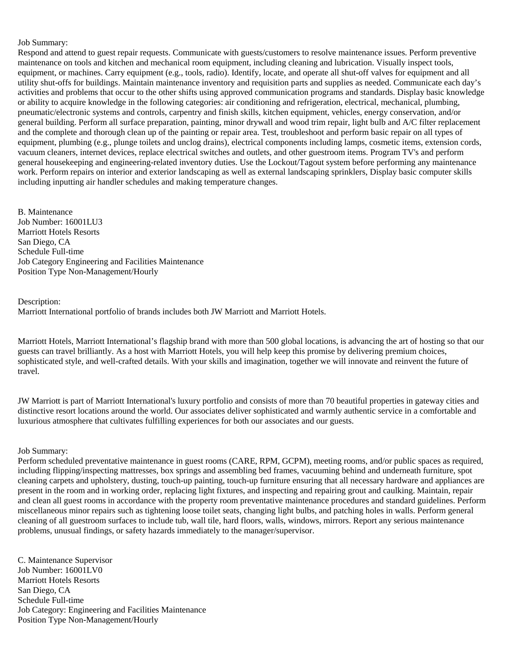Job Summary:

Respond and attend to guest repair requests. Communicate with guests/customers to resolve maintenance issues. Perform preventive maintenance on tools and kitchen and mechanical room equipment, including cleaning and lubrication. Visually inspect tools, equipment, or machines. Carry equipment (e.g., tools, radio). Identify, locate, and operate all shut-off valves for equipment and all utility shut-offs for buildings. Maintain maintenance inventory and requisition parts and supplies as needed. Communicate each day's activities and problems that occur to the other shifts using approved communication programs and standards. Display basic knowledge or ability to acquire knowledge in the following categories: air conditioning and refrigeration, electrical, mechanical, plumbing, pneumatic/electronic systems and controls, carpentry and finish skills, kitchen equipment, vehicles, energy conservation, and/or general building. Perform all surface preparation, painting, minor drywall and wood trim repair, light bulb and A/C filter replacement and the complete and thorough clean up of the painting or repair area. Test, troubleshoot and perform basic repair on all types of equipment, plumbing (e.g., plunge toilets and unclog drains), electrical components including lamps, cosmetic items, extension cords, vacuum cleaners, internet devices, replace electrical switches and outlets, and other guestroom items. Program TV's and perform general housekeeping and engineering-related inventory duties. Use the Lockout/Tagout system before performing any maintenance work. Perform repairs on interior and exterior landscaping as well as external landscaping sprinklers, Display basic computer skills including inputting air handler schedules and making temperature changes.

B. Maintenance Job Number: 16001LU3 Marriott Hotels Resorts San Diego, CA Schedule Full-time Job Category Engineering and Facilities Maintenance Position Type Non-Management/Hourly

Description: Marriott International portfolio of brands includes both JW Marriott and Marriott Hotels.

Marriott Hotels, Marriott International's flagship brand with more than 500 global locations, is advancing the art of hosting so that our guests can travel brilliantly. As a host with Marriott Hotels, you will help keep this promise by delivering premium choices, sophisticated style, and well-crafted details. With your skills and imagination, together we will innovate and reinvent the future of travel.

JW Marriott is part of Marriott International's luxury portfolio and consists of more than 70 beautiful properties in gateway cities and distinctive resort locations around the world. Our associates deliver sophisticated and warmly authentic service in a comfortable and luxurious atmosphere that cultivates fulfilling experiences for both our associates and our guests.

Job Summary:

Perform scheduled preventative maintenance in guest rooms (CARE, RPM, GCPM), meeting rooms, and/or public spaces as required, including flipping/inspecting mattresses, box springs and assembling bed frames, vacuuming behind and underneath furniture, spot cleaning carpets and upholstery, dusting, touch-up painting, touch-up furniture ensuring that all necessary hardware and appliances are present in the room and in working order, replacing light fixtures, and inspecting and repairing grout and caulking. Maintain, repair and clean all guest rooms in accordance with the property room preventative maintenance procedures and standard guidelines. Perform miscellaneous minor repairs such as tightening loose toilet seats, changing light bulbs, and patching holes in walls. Perform general cleaning of all guestroom surfaces to include tub, wall tile, hard floors, walls, windows, mirrors. Report any serious maintenance problems, unusual findings, or safety hazards immediately to the manager/supervisor.

C. Maintenance Supervisor Job Number: 16001LV0 Marriott Hotels Resorts San Diego, CA Schedule Full-time Job Category: Engineering and Facilities Maintenance Position Type Non-Management/Hourly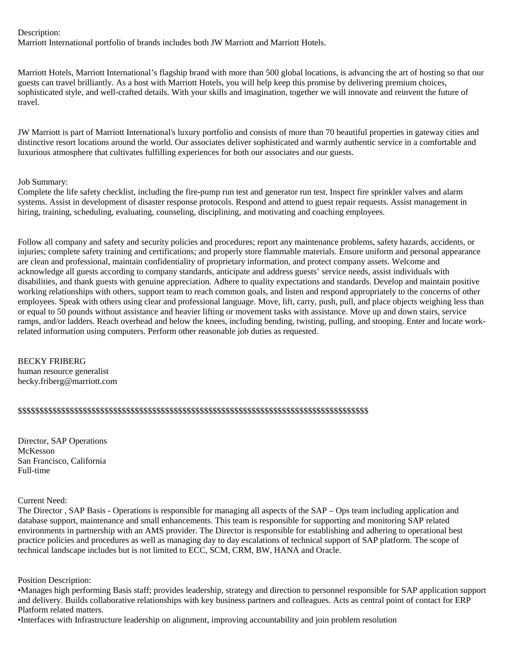Description:

Marriott International portfolio of brands includes both JW Marriott and Marriott Hotels.

Marriott Hotels, Marriott International's flagship brand with more than 500 global locations, is advancing the art of hosting so that our guests can travel brilliantly. As a host with Marriott Hotels, you will help keep this promise by delivering premium choices, sophisticated style, and well-crafted details. With your skills and imagination, together we will innovate and reinvent the future of travel.

JW Marriott is part of Marriott International's luxury portfolio and consists of more than 70 beautiful properties in gateway cities and distinctive resort locations around the world. Our associates deliver sophisticated and warmly authentic service in a comfortable and luxurious atmosphere that cultivates fulfilling experiences for both our associates and our guests.

#### Job Summary:

Complete the life safety checklist, including the fire-pump run test and generator run test. Inspect fire sprinkler valves and alarm systems. Assist in development of disaster response protocols. Respond and attend to guest repair requests. Assist management in hiring, training, scheduling, evaluating, counseling, disciplining, and motivating and coaching employees.

Follow all company and safety and security policies and procedures; report any maintenance problems, safety hazards, accidents, or injuries; complete safety training and certifications; and properly store flammable materials. Ensure uniform and personal appearance are clean and professional, maintain confidentiality of proprietary information, and protect company assets. Welcome and acknowledge all guests according to company standards, anticipate and address guests' service needs, assist individuals with disabilities, and thank guests with genuine appreciation. Adhere to quality expectations and standards. Develop and maintain positive working relationships with others, support team to reach common goals, and listen and respond appropriately to the concerns of other employees. Speak with others using clear and professional language. Move, lift, carry, push, pull, and place objects weighing less than or equal to 50 pounds without assistance and heavier lifting or movement tasks with assistance. Move up and down stairs, service ramps, and/or ladders. Reach overhead and below the knees, including bending, twisting, pulling, and stooping. Enter and locate workrelated information using computers. Perform other reasonable job duties as requested.

BECKY FRIBERG human resource generalist becky.friberg@marriott.com

#### \$\$\$\$\$\$\$\$\$\$\$\$\$\$\$\$\$\$\$\$\$\$\$\$\$\$\$\$\$\$\$\$\$\$\$\$\$\$\$\$\$\$\$\$\$\$\$\$\$\$\$\$\$\$\$\$\$\$\$\$\$\$\$\$\$\$\$\$\$\$\$\$\$\$\$\$\$\$\$\$\$

Director, SAP Operations McKesson San Francisco, California Full-time

# Current Need:

The Director , SAP Basis - Operations is responsible for managing all aspects of the SAP – Ops team including application and database support, maintenance and small enhancements. This team is responsible for supporting and monitoring SAP related environments in partnership with an AMS provider. The Director is responsible for establishing and adhering to operational best practice policies and procedures as well as managing day to day escalations of technical support of SAP platform. The scope of technical landscape includes but is not limited to ECC, SCM, CRM, BW, HANA and Oracle.

#### Position Description:

•Manages high performing Basis staff; provides leadership, strategy and direction to personnel responsible for SAP application support and delivery. Builds collaborative relationships with key business partners and colleagues. Acts as central point of contact for ERP Platform related matters.

•Interfaces with Infrastructure leadership on alignment, improving accountability and join problem resolution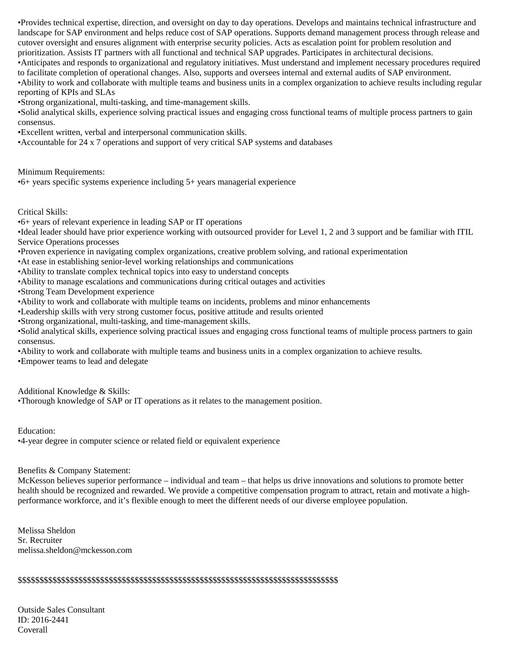•Provides technical expertise, direction, and oversight on day to day operations. Develops and maintains technical infrastructure and landscape for SAP environment and helps reduce cost of SAP operations. Supports demand management process through release and cutover oversight and ensures alignment with enterprise security policies. Acts as escalation point for problem resolution and prioritization. Assists IT partners with all functional and technical SAP upgrades. Participates in architectural decisions. •Anticipates and responds to organizational and regulatory initiatives. Must understand and implement necessary procedures required to facilitate completion of operational changes. Also, supports and oversees internal and external audits of SAP environment. •Ability to work and collaborate with multiple teams and business units in a complex organization to achieve results including regular reporting of KPIs and SLAs

•Strong organizational, multi-tasking, and time-management skills.

•Solid analytical skills, experience solving practical issues and engaging cross functional teams of multiple process partners to gain consensus.

•Excellent written, verbal and interpersonal communication skills.

•Accountable for 24 x 7 operations and support of very critical SAP systems and databases

Minimum Requirements:

•6+ years specific systems experience including 5+ years managerial experience

Critical Skills:

•6+ years of relevant experience in leading SAP or IT operations

•Ideal leader should have prior experience working with outsourced provider for Level 1, 2 and 3 support and be familiar with ITIL Service Operations processes

•Proven experience in navigating complex organizations, creative problem solving, and rational experimentation

- •At ease in establishing senior-level working relationships and communications
- •Ability to translate complex technical topics into easy to understand concepts
- •Ability to manage escalations and communications during critical outages and activities

•Strong Team Development experience

•Ability to work and collaborate with multiple teams on incidents, problems and minor enhancements

•Leadership skills with very strong customer focus, positive attitude and results oriented

•Strong organizational, multi-tasking, and time-management skills.

•Solid analytical skills, experience solving practical issues and engaging cross functional teams of multiple process partners to gain consensus.

•Ability to work and collaborate with multiple teams and business units in a complex organization to achieve results.

•Empower teams to lead and delegate

Additional Knowledge & Skills:

•Thorough knowledge of SAP or IT operations as it relates to the management position.

Education: •4-year degree in computer science or related field or equivalent experience

Benefits & Company Statement:

McKesson believes superior performance – individual and team – that helps us drive innovations and solutions to promote better health should be recognized and rewarded. We provide a competitive compensation program to attract, retain and motivate a highperformance workforce, and it's flexible enough to meet the different needs of our diverse employee population.

Melissa Sheldon Sr. Recruiter melissa.sheldon@mckesson.com

#### \$\$\$\$\$\$\$\$\$\$\$\$\$\$\$\$\$\$\$\$\$\$\$\$\$\$\$\$\$\$\$\$\$\$\$\$\$\$\$\$\$\$\$\$\$\$\$\$\$\$\$\$\$\$\$\$\$\$\$\$\$\$\$\$\$\$\$\$\$\$\$\$\$\$

Outside Sales Consultant ID: 2016-2441 Coverall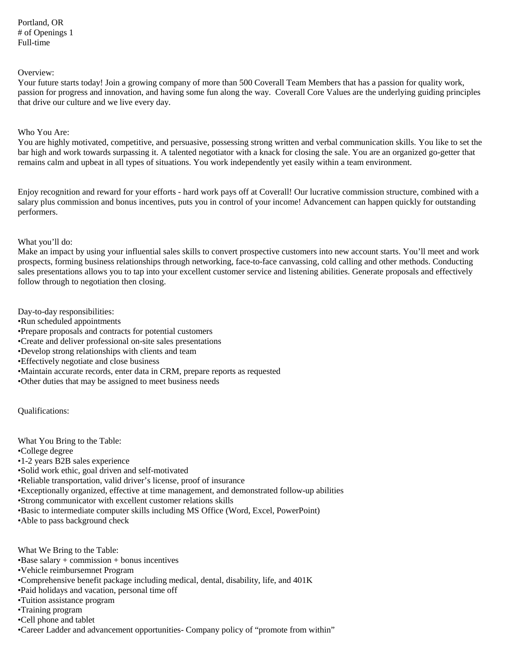Portland, OR # of Openings 1 Full-time

### Overview:

Your future starts today! Join a growing company of more than 500 Coverall Team Members that has a passion for quality work, passion for progress and innovation, and having some fun along the way. Coverall Core Values are the underlying guiding principles that drive our culture and we live every day.

# Who You Are:

You are highly motivated, competitive, and persuasive, possessing strong written and verbal communication skills. You like to set the bar high and work towards surpassing it. A talented negotiator with a knack for closing the sale. You are an organized go-getter that remains calm and upbeat in all types of situations. You work independently yet easily within a team environment.

Enjoy recognition and reward for your efforts - hard work pays off at Coverall! Our lucrative commission structure, combined with a salary plus commission and bonus incentives, puts you in control of your income! Advancement can happen quickly for outstanding performers.

# What you'll do:

Make an impact by using your influential sales skills to convert prospective customers into new account starts. You'll meet and work prospects, forming business relationships through networking, face-to-face canvassing, cold calling and other methods. Conducting sales presentations allows you to tap into your excellent customer service and listening abilities. Generate proposals and effectively follow through to negotiation then closing.

Day-to-day responsibilities:

- •Run scheduled appointments
- •Prepare proposals and contracts for potential customers
- •Create and deliver professional on-site sales presentations
- •Develop strong relationships with clients and team
- •Effectively negotiate and close business
- •Maintain accurate records, enter data in CRM, prepare reports as requested
- •Other duties that may be assigned to meet business needs

Qualifications:

What You Bring to the Table:

- •College degree
- •1-2 years B2B sales experience
- •Solid work ethic, goal driven and self-motivated
- •Reliable transportation, valid driver's license, proof of insurance
- •Exceptionally organized, effective at time management, and demonstrated follow-up abilities
- •Strong communicator with excellent customer relations skills
- •Basic to intermediate computer skills including MS Office (Word, Excel, PowerPoint)
- •Able to pass background check

What We Bring to the Table:

- •Base salary + commission + bonus incentives
- •Vehicle reimbursemnet Program
- •Comprehensive benefit package including medical, dental, disability, life, and 401K
- •Paid holidays and vacation, personal time off
- •Tuition assistance program
- •Training program
- •Cell phone and tablet
- •Career Ladder and advancement opportunities- Company policy of "promote from within"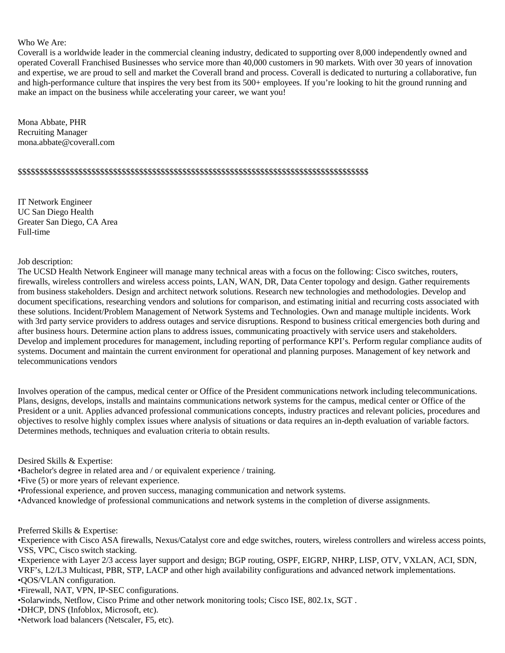Who We Are:

Coverall is a worldwide leader in the commercial cleaning industry, dedicated to supporting over 8,000 independently owned and operated Coverall Franchised Businesses who service more than 40,000 customers in 90 markets. With over 30 years of innovation and expertise, we are proud to sell and market the Coverall brand and process. Coverall is dedicated to nurturing a collaborative, fun and high-performance culture that inspires the very best from its 500+ employees. If you're looking to hit the ground running and make an impact on the business while accelerating your career, we want you!

Mona Abbate, PHR Recruiting Manager mona.abbate@coverall.com

#### \$\$\$\$\$\$\$\$\$\$\$\$\$\$\$\$\$\$\$\$\$\$\$\$\$\$\$\$\$\$\$\$\$\$\$\$\$\$\$\$\$\$\$\$\$\$\$\$\$\$\$\$\$\$\$\$\$\$\$\$\$\$\$\$\$\$\$\$\$\$\$\$\$\$\$\$\$\$\$\$\$

IT Network Engineer UC San Diego Health Greater San Diego, CA Area Full-time

Job description:

The UCSD Health Network Engineer will manage many technical areas with a focus on the following: Cisco switches, routers, firewalls, wireless controllers and wireless access points, LAN, WAN, DR, Data Center topology and design. Gather requirements from business stakeholders. Design and architect network solutions. Research new technologies and methodologies. Develop and document specifications, researching vendors and solutions for comparison, and estimating initial and recurring costs associated with these solutions. Incident/Problem Management of Network Systems and Technologies. Own and manage multiple incidents. Work with 3rd party service providers to address outages and service disruptions. Respond to business critical emergencies both during and after business hours. Determine action plans to address issues, communicating proactively with service users and stakeholders. Develop and implement procedures for management, including reporting of performance KPI's. Perform regular compliance audits of systems. Document and maintain the current environment for operational and planning purposes. Management of key network and telecommunications vendors

Involves operation of the campus, medical center or Office of the President communications network including telecommunications. Plans, designs, develops, installs and maintains communications network systems for the campus, medical center or Office of the President or a unit. Applies advanced professional communications concepts, industry practices and relevant policies, procedures and objectives to resolve highly complex issues where analysis of situations or data requires an in-depth evaluation of variable factors. Determines methods, techniques and evaluation criteria to obtain results.

Desired Skills & Expertise:

•Bachelor's degree in related area and / or equivalent experience / training.

•Five (5) or more years of relevant experience.

•Professional experience, and proven success, managing communication and network systems.

•Advanced knowledge of professional communications and network systems in the completion of diverse assignments.

# Preferred Skills & Expertise:

•Experience with Cisco ASA firewalls, Nexus/Catalyst core and edge switches, routers, wireless controllers and wireless access points, VSS, VPC, Cisco switch stacking.

•Experience with Layer 2/3 access layer support and design; BGP routing, OSPF, EIGRP, NHRP, LISP, OTV, VXLAN, ACI, SDN, VRF's, L2/L3 Multicast, PBR, STP, LACP and other high availability configurations and advanced network implementations.

•QOS/VLAN configuration.

•Firewall, NAT, VPN, IP-SEC configurations.

•Solarwinds, Netflow, Cisco Prime and other network monitoring tools; Cisco ISE, 802.1x, SGT .

•DHCP, DNS (Infoblox, Microsoft, etc).

•Network load balancers (Netscaler, F5, etc).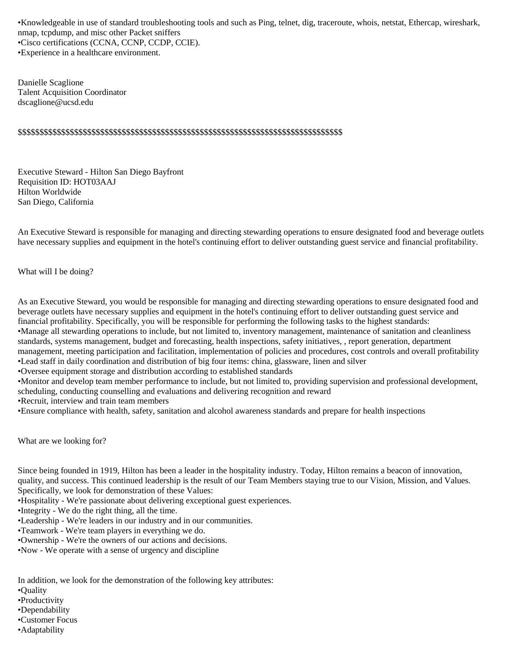•Knowledgeable in use of standard troubleshooting tools and such as Ping, telnet, dig, traceroute, whois, netstat, Ethercap, wireshark, nmap, tcpdump, and misc other Packet sniffers

•Cisco certifications (CCNA, CCNP, CCDP, CCIE).

•Experience in a healthcare environment.

Danielle Scaglione Talent Acquisition Coordinator dscaglione@ucsd.edu

#### \$\$\$\$\$\$\$\$\$\$\$\$\$\$\$\$\$\$\$\$\$\$\$\$\$\$\$\$\$\$\$\$\$\$\$\$\$\$\$\$\$\$\$\$\$\$\$\$\$\$\$\$\$\$\$\$\$\$\$\$\$\$\$\$\$\$\$\$\$\$\$\$\$\$\$

Executive Steward - Hilton San Diego Bayfront Requisition ID: HOT03AAJ Hilton Worldwide San Diego, California

An Executive Steward is responsible for managing and directing stewarding operations to ensure designated food and beverage outlets have necessary supplies and equipment in the hotel's continuing effort to deliver outstanding guest service and financial profitability.

What will I be doing?

As an Executive Steward, you would be responsible for managing and directing stewarding operations to ensure designated food and beverage outlets have necessary supplies and equipment in the hotel's continuing effort to deliver outstanding guest service and financial profitability. Specifically, you will be responsible for performing the following tasks to the highest standards: •Manage all stewarding operations to include, but not limited to, inventory management, maintenance of sanitation and cleanliness standards, systems management, budget and forecasting, health inspections, safety initiatives, , report generation, department management, meeting participation and facilitation, implementation of policies and procedures, cost controls and overall profitability •Lead staff in daily coordination and distribution of big four items: china, glassware, linen and silver

•Oversee equipment storage and distribution according to established standards

•Monitor and develop team member performance to include, but not limited to, providing supervision and professional development, scheduling, conducting counselling and evaluations and delivering recognition and reward

•Recruit, interview and train team members

•Ensure compliance with health, safety, sanitation and alcohol awareness standards and prepare for health inspections

What are we looking for?

Since being founded in 1919, Hilton has been a leader in the hospitality industry. Today, Hilton remains a beacon of innovation, quality, and success. This continued leadership is the result of our Team Members staying true to our Vision, Mission, and Values. Specifically, we look for demonstration of these Values:

•Hospitality - We're passionate about delivering exceptional guest experiences.

•Integrity - We do the right thing, all the time.

- •Leadership We're leaders in our industry and in our communities.
- •Teamwork We're team players in everything we do.
- •Ownership We're the owners of our actions and decisions.

•Now - We operate with a sense of urgency and discipline

In addition, we look for the demonstration of the following key attributes:

- •Quality
- •Productivity
- •Dependability
- •Customer Focus
- •Adaptability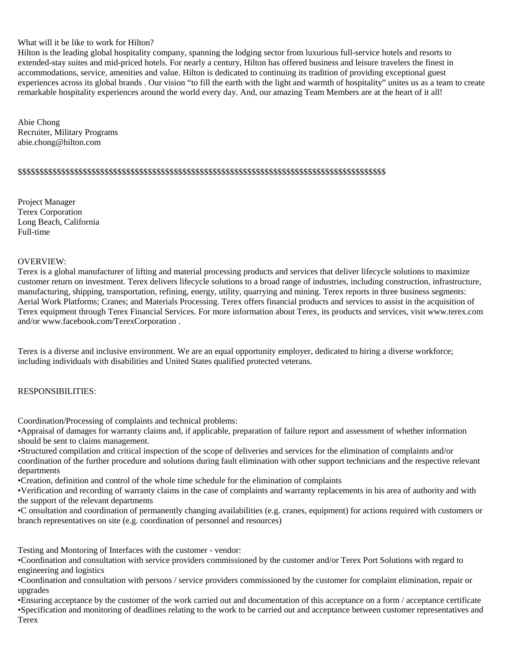What will it be like to work for Hilton?

Hilton is the leading global hospitality company, spanning the lodging sector from luxurious full-service hotels and resorts to extended-stay suites and mid-priced hotels. For nearly a century, Hilton has offered business and leisure travelers the finest in accommodations, service, amenities and value. Hilton is dedicated to continuing its tradition of providing exceptional guest experiences across its global brands . Our vision "to fill the earth with the light and warmth of hospitality" unites us as a team to create remarkable hospitality experiences around the world every day. And, our amazing Team Members are at the heart of it all!

Abie Chong Recruiter, Military Programs abie.chong@hilton.com

# \$\$\$\$\$\$\$\$\$\$\$\$\$\$\$\$\$\$\$\$\$\$\$\$\$\$\$\$\$\$\$\$\$\$\$\$\$\$\$\$\$\$\$\$\$\$\$\$\$\$\$\$\$\$\$\$\$\$\$\$\$\$\$\$\$\$\$\$\$\$\$\$\$\$\$\$\$\$\$\$\$\$\$\$\$

Project Manager Terex Corporation Long Beach, California Full-time

# OVERVIEW:

Terex is a global manufacturer of lifting and material processing products and services that deliver lifecycle solutions to maximize customer return on investment. Terex delivers lifecycle solutions to a broad range of industries, including construction, infrastructure, manufacturing, shipping, transportation, refining, energy, utility, quarrying and mining. Terex reports in three business segments: Aerial Work Platforms; Cranes; and Materials Processing. Terex offers financial products and services to assist in the acquisition of Terex equipment through Terex Financial Services. For more information about Terex, its products and services, visit www.terex.com and/or www.facebook.com/TerexCorporation .

Terex is a diverse and inclusive environment. We are an equal opportunity employer, dedicated to hiring a diverse workforce; including individuals with disabilities and United States qualified protected veterans.

# RESPONSIBILITIES:

Coordination/Processing of complaints and technical problems:

•Appraisal of damages for warranty claims and, if applicable, preparation of failure report and assessment of whether information should be sent to claims management.

•Structured compilation and critical inspection of the scope of deliveries and services for the elimination of complaints and/or coordination of the further procedure and solutions during fault elimination with other support technicians and the respective relevant departments

•Creation, definition and control of the whole time schedule for the elimination of complaints

•Verification and recording of warranty claims in the case of complaints and warranty replacements in his area of authority and with the support of the relevant departments

•C onsultation and coordination of permanently changing availabilities (e.g. cranes, equipment) for actions required with customers or branch representatives on site (e.g. coordination of personnel and resources)

Testing and Montoring of Interfaces with the customer - vendor:

•Coordination and consultation with service providers commissioned by the customer and/or Terex Port Solutions with regard to engineering and logistics

•Coordination and consultation with persons / service providers commissioned by the customer for complaint elimination, repair or upgrades

•Ensuring acceptance by the customer of the work carried out and documentation of this acceptance on a form / acceptance certificate •Specification and monitoring of deadlines relating to the work to be carried out and acceptance between customer representatives and **Terex**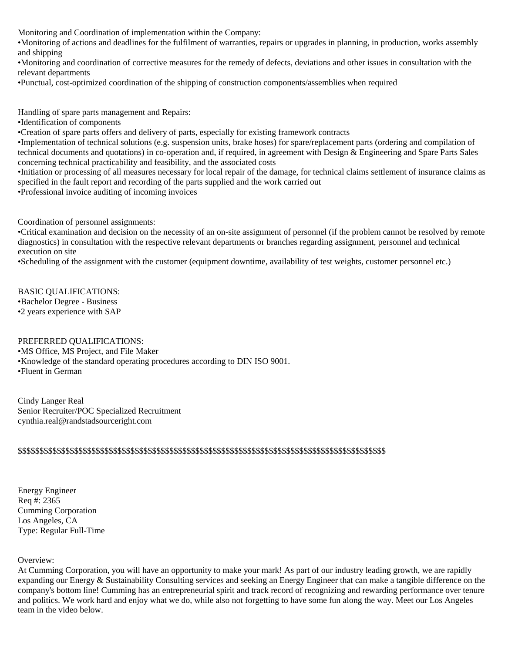Monitoring and Coordination of implementation within the Company:

•Monitoring of actions and deadlines for the fulfilment of warranties, repairs or upgrades in planning, in production, works assembly and shipping

•Monitoring and coordination of corrective measures for the remedy of defects, deviations and other issues in consultation with the relevant departments

•Punctual, cost-optimized coordination of the shipping of construction components/assemblies when required

Handling of spare parts management and Repairs:

•Identification of components

•Creation of spare parts offers and delivery of parts, especially for existing framework contracts

•Implementation of technical solutions (e.g. suspension units, brake hoses) for spare/replacement parts (ordering and compilation of technical documents and quotations) in co-operation and, if required, in agreement with Design & Engineering and Spare Parts Sales concerning technical practicability and feasibility, and the associated costs

•Initiation or processing of all measures necessary for local repair of the damage, for technical claims settlement of insurance claims as specified in the fault report and recording of the parts supplied and the work carried out

•Professional invoice auditing of incoming invoices

Coordination of personnel assignments:

•Critical examination and decision on the necessity of an on-site assignment of personnel (if the problem cannot be resolved by remote diagnostics) in consultation with the respective relevant departments or branches regarding assignment, personnel and technical execution on site

•Scheduling of the assignment with the customer (equipment downtime, availability of test weights, customer personnel etc.)

BASIC QUALIFICATIONS:

•Bachelor Degree - Business

•2 years experience with SAP

# PREFERRED QUALIFICATIONS:

•MS Office, MS Project, and File Maker

•Knowledge of the standard operating procedures according to DIN ISO 9001.

•Fluent in German

Cindy Langer Real Senior Recruiter/POC Specialized Recruitment cynthia.real@randstadsourceright.com

#### \$\$\$\$\$\$\$\$\$\$\$\$\$\$\$\$\$\$\$\$\$\$\$\$\$\$\$\$\$\$\$\$\$\$\$\$\$\$\$\$\$\$\$\$\$\$\$\$\$\$\$\$\$\$\$\$\$\$\$\$\$\$\$\$\$\$\$\$\$\$\$\$\$\$\$\$\$\$\$\$\$\$\$\$\$

Energy Engineer Req #: 2365 Cumming Corporation Los Angeles, CA Type: Regular Full-Time

Overview:

At Cumming Corporation, you will have an opportunity to make your mark! As part of our industry leading growth, we are rapidly expanding our Energy & Sustainability Consulting services and seeking an Energy Engineer that can make a tangible difference on the company's bottom line! Cumming has an entrepreneurial spirit and track record of recognizing and rewarding performance over tenure and politics. We work hard and enjoy what we do, while also not forgetting to have some fun along the way. Meet our Los Angeles team in the video below.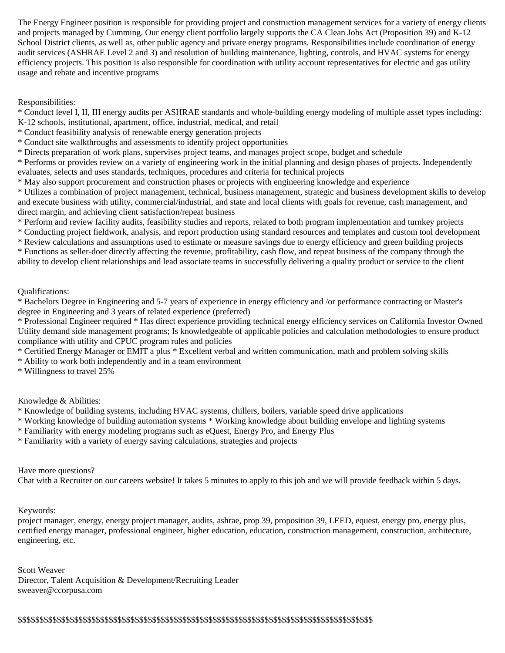The Energy Engineer position is responsible for providing project and construction management services for a variety of energy clients and projects managed by Cumming. Our energy client portfolio largely supports the CA Clean Jobs Act (Proposition 39) and K-12 School District clients, as well as, other public agency and private energy programs. Responsibilities include coordination of energy audit services (ASHRAE Level 2 and 3) and resolution of building maintenance, lighting, controls, and HVAC systems for energy efficiency projects. This position is also responsible for coordination with utility account representatives for electric and gas utility usage and rebate and incentive programs

# Responsibilities:

\* Conduct level I, II, III energy audits per ASHRAE standards and whole-building energy modeling of multiple asset types including: K-12 schools, institutional, apartment, office, industrial, medical, and retail

\* Conduct feasibility analysis of renewable energy generation projects

\* Conduct site walkthroughs and assessments to identify project opportunities

\* Directs preparation of work plans, supervises project teams, and manages project scope, budget and schedule

\* Performs or provides review on a variety of engineering work in the initial planning and design phases of projects. Independently evaluates, selects and uses standards, techniques, procedures and criteria for technical projects

\* May also support procurement and construction phases or projects with engineering knowledge and experience

\* Utilizes a combination of project management, technical, business management, strategic and business development skills to develop and execute business with utility, commercial/industrial, and state and local clients with goals for revenue, cash management, and direct margin, and achieving client satisfaction/repeat business

\* Perform and review facility audits, feasibility studies and reports, related to both program implementation and turnkey projects

\* Conducting project fieldwork, analysis, and report production using standard resources and templates and custom tool development

\* Review calculations and assumptions used to estimate or measure savings due to energy efficiency and green building projects

\* Functions as seller-doer directly affecting the revenue, profitability, cash flow, and repeat business of the company through the ability to develop client relationships and lead associate teams in successfully delivering a quality product or service to the client

# Qualifications:

\* Bachelors Degree in Engineering and 5-7 years of experience in energy efficiency and /or performance contracting or Master's degree in Engineering and 3 years of related experience (preferred)

\* Professional Engineer required \* Has direct experience providing technical energy efficiency services on California Investor Owned Utility demand side management programs; Is knowledgeable of applicable policies and calculation methodologies to ensure product compliance with utility and CPUC program rules and policies

\* Certified Energy Manager or EMIT a plus \* Excellent verbal and written communication, math and problem solving skills

\* Ability to work both independently and in a team environment

\* Willingness to travel 25%

Knowledge & Abilities:

\* Knowledge of building systems, including HVAC systems, chillers, boilers, variable speed drive applications

\* Working knowledge of building automation systems \* Working knowledge about building envelope and lighting systems

\* Familiarity with energy modeling programs such as eQuest, Energy Pro, and Energy Plus

\* Familiarity with a variety of energy saving calculations, strategies and projects

Have more questions?

Chat with a Recruiter on our careers website! It takes 5 minutes to apply to this job and we will provide feedback within 5 days.

Keywords:

project manager, energy, energy project manager, audits, ashrae, prop 39, proposition 39, LEED, equest, energy pro, energy plus, certified energy manager, professional engineer, higher education, education, construction management, construction, architecture, engineering, etc.

Scott Weaver Director, Talent Acquisition & Development/Recruiting Leader sweaver@ccorpusa.com